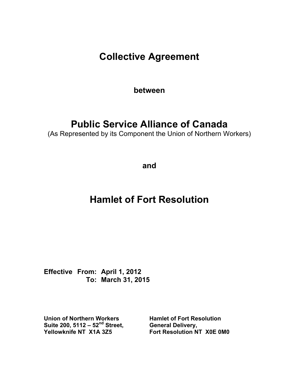**Collective Agreement** 

**between** 

# **Public Service Alliance of Canada**

(As Represented by its Component the Union of Northern Workers)

**and** 

# **Hamlet of Fort Resolution**

**Effective From: April 1, 2012 To: March 31, 2015** 

**Union of Northern Workers Hamlet of Fort Resolution Suite 200, 5112 – 52nd Street, General Delivery,** 

**Yellowknife NT X1A 3Z5 Fort Resolution NT X0E 0M0**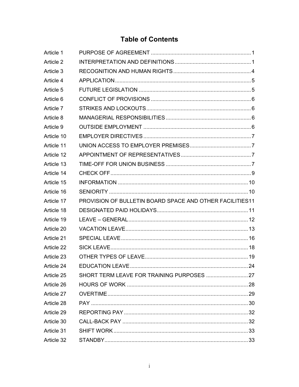# **Table of Contents**

| Article 1  |                                                          |  |
|------------|----------------------------------------------------------|--|
| Article 2  |                                                          |  |
| Article 3  |                                                          |  |
| Article 4  |                                                          |  |
| Article 5  |                                                          |  |
| Article 6  |                                                          |  |
| Article 7  |                                                          |  |
| Article 8  |                                                          |  |
| Article 9  |                                                          |  |
| Article 10 |                                                          |  |
| Article 11 |                                                          |  |
| Article 12 |                                                          |  |
| Article 13 |                                                          |  |
| Article 14 |                                                          |  |
| Article 15 |                                                          |  |
| Article 16 |                                                          |  |
| Article 17 | PROVISION OF BULLETIN BOARD SPACE AND OTHER FACILITIES11 |  |
| Article 18 |                                                          |  |
| Article 19 |                                                          |  |
| Article 20 |                                                          |  |
| Article 21 |                                                          |  |
| Article 22 |                                                          |  |
| Article 23 |                                                          |  |
| Article 24 | EDUCATION LEAVE                                          |  |
| Article 25 |                                                          |  |
| Article 26 |                                                          |  |
| Article 27 |                                                          |  |
| Article 28 |                                                          |  |
| Article 29 |                                                          |  |
| Article 30 |                                                          |  |
| Article 31 |                                                          |  |
| Article 32 |                                                          |  |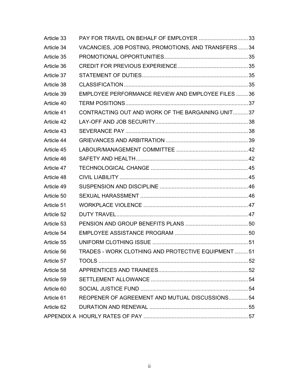| Article 33 | PAY FOR TRAVEL ON BEHALF OF EMPLOYER 33             |  |
|------------|-----------------------------------------------------|--|
| Article 34 | VACANCIES, JOB POSTING, PROMOTIONS, AND TRANSFERS34 |  |
| Article 35 |                                                     |  |
| Article 36 |                                                     |  |
| Article 37 |                                                     |  |
| Article 38 |                                                     |  |
| Article 39 | EMPLOYEE PERFORMANCE REVIEW AND EMPLOYEE FILES 36   |  |
| Article 40 |                                                     |  |
| Article 41 | CONTRACTING OUT AND WORK OF THE BARGAINING UNIT37   |  |
| Article 42 |                                                     |  |
| Article 43 |                                                     |  |
| Article 44 |                                                     |  |
| Article 45 |                                                     |  |
| Article 46 |                                                     |  |
| Article 47 |                                                     |  |
| Article 48 |                                                     |  |
| Article 49 |                                                     |  |
| Article 50 |                                                     |  |
| Article 51 |                                                     |  |
| Article 52 |                                                     |  |
| Article 53 |                                                     |  |
| Article 54 |                                                     |  |
| Article 55 |                                                     |  |
| Article 56 | TRADES - WORK CLOTHING AND PROTECTIVE EQUIPMENT51   |  |
| Article 57 |                                                     |  |
| Article 58 |                                                     |  |
| Article 59 |                                                     |  |
| Article 60 |                                                     |  |
| Article 61 | REOPENER OF AGREEMENT AND MUTUAL DISCUSSIONS 54     |  |
| Article 62 |                                                     |  |
|            |                                                     |  |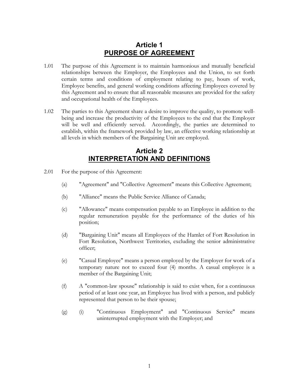### **Article 1 PURPOSE OF AGREEMENT**

- <span id="page-3-0"></span>1.01 The purpose of this Agreement is to maintain harmonious and mutually beneficial relationships between the Employer, the Employees and the Union, to set forth certain terms and conditions of employment relating to pay, hours of work, Employee benefits, and general working conditions affecting Employees covered by this Agreement and to ensure that all reasonable measures are provided for the safety and occupational health of the Employees.
- 1.02 The parties to this Agreement share a desire to improve the quality, to promote wellbeing and increase the productivity of the Employees to the end that the Employer will be well and efficiently served. Accordingly, the parties are determined to establish, within the framework provided by law, an effective working relationship at all levels in which members of the Bargaining Unit are employed.

### **Article 2 INTERPRETATION AND DEFINITIONS**

- 2.01 For the purpose of this Agreement:
	- (a) "Agreement" and "Collective Agreement" means this Collective Agreement;
	- (b) "Alliance" means the Public Service Alliance of Canada;
	- (c) "Allowance" means compensation payable to an Employee in addition to the regular remuneration payable for the performance of the duties of his position;
	- (d) "Bargaining Unit" means all Employees of the Hamlet of Fort Resolution in Fort Resolution, Northwest Territories, excluding the senior administrative officer;
	- (e) "Casual Employee" means a person employed by the Employer for work of a temporary nature not to exceed four (4) months. A casual employee is a member of the Bargaining Unit;
	- (f) A "common-law spouse" relationship is said to exist when, for a continuous period of at least one year, an Employee has lived with a person, and publicly represented that person to be their spouse;
	- (g) (i) "Continuous Employment" and "Continuous Service" means uninterrupted employment with the Employer; and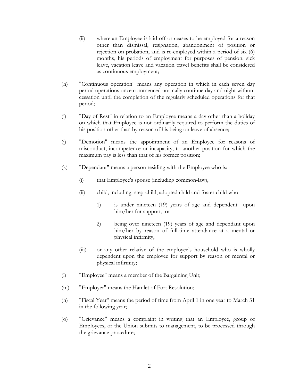- (ii) where an Employee is laid off or ceases to be employed for a reason other than dismissal, resignation, abandonment of position or rejection on probation, and is re-employed within a period of six (6) months, his periods of employment for purposes of pension, sick leave, vacation leave and vacation travel benefits shall be considered as continuous employment;
- (h) "Continuous operation" means any operation in which in each seven day period operations once commenced normally continue day and night without cessation until the completion of the regularly scheduled operations for that period;
- (i) "Day of Rest" in relation to an Employee means a day other than a holiday on which that Employee is not ordinarily required to perform the duties of his position other than by reason of his being on leave of absence;
- (j) "Demotion" means the appointment of an Employee for reasons of misconduct, incompetence or incapacity, to another position for which the maximum pay is less than that of his former position;
- (k) "Dependant" means a person residing with the Employee who is:
	- (i) that Employee's spouse (including common-law),
	- (ii) child, including step-child, adopted child and foster child who
		- 1) is under nineteen (19) years of age and dependent upon him/her for support, or
		- 2) being over nineteen (19) years of age and dependant upon him/her by reason of full-time attendance at a mental or physical infirmity,
	- (iii) or any other relative of the employee's household who is wholly dependent upon the employee for support by reason of mental or physical infirmity;
- (l) "Employee" means a member of the Bargaining Unit;
- (m) "Employer" means the Hamlet of Fort Resolution;
- (n) "Fiscal Year" means the period of time from April 1 in one year to March 31 in the following year;
- (o) "Grievance" means a complaint in writing that an Employee, group of Employees, or the Union submits to management, to be processed through the grievance procedure;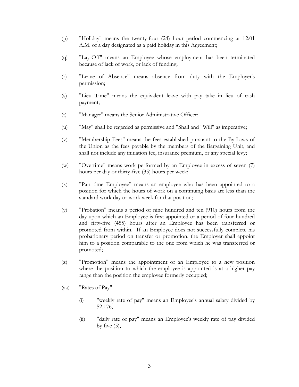- (p) "Holiday" means the twenty-four (24) hour period commencing at 12:01 A.M. of a day designated as a paid holiday in this Agreement;
- (q) "Lay-Off" means an Employee whose employment has been terminated because of lack of work, or lack of funding;
- (r) "Leave of Absence" means absence from duty with the Employer's permission;
- (s) "Lieu Time" means the equivalent leave with pay take in lieu of cash payment;
- (t) "Manager" means the Senior Administrative Officer;
- (u) "May" shall be regarded as permissive and "Shall and "Will" as imperative;
- (v) "Membership Fees" means the fees established pursuant to the By-Laws of the Union as the fees payable by the members of the Bargaining Unit, and shall not include any initiation fee, insurance premium, or any special levy;
- (w) "Overtime" means work performed by an Employee in excess of seven (7) hours per day or thirty-five (35) hours per week;
- (x) "Part time Employee" means an employee who has been appointed to a position for which the hours of work on a continuing basis are less than the standard work day or work week for that position;
- (y) "Probation" means a period of nine hundred and ten (910) hours from the day upon which an Employee is first appointed or a period of four hundred and fifty-five (455) hours after an Employee has been transferred or promoted from within. If an Employee does not successfully complete his probationary period on transfer or promotion, the Employer shall appoint him to a position comparable to the one from which he was transferred or promoted;
- (z) "Promotion" means the appointment of an Employee to a new position where the position to which the employee is appointed is at a higher pay range than the position the employee formerly occupied;
- (aa) "Rates of Pay"
	- (i) "weekly rate of pay" means an Employee's annual salary divided by 52.176,
	- (ii) "daily rate of pay" means an Employee's weekly rate of pay divided by five  $(5)$ ,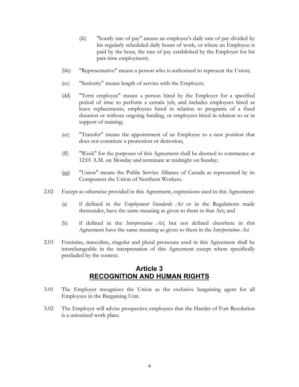- <span id="page-6-0"></span>(iii) "hourly rate of pay" means an employee's daily rate of pay divided by his regularly scheduled daily hours of work, or where an Employee is paid by the hour, the rate of pay established by the Employer for his part-time employment;
- (bb) "Representative" means a person who is authorized to represent the Union;
- (cc) "Seniority" means length of service with the Employer;
- (dd) "Term employee" means a person hired by the Employer for a specified period of time to perform a certain job, and includes employees hired as leave replacements, employees hired in relation to programs of a fixed duration or without ongoing funding, or employees hired in relation to or in support of training;
- (ee) "Transfer" means the appointment of an Employee to a new position that does not constitute a promotion or demotion;
- (ff) "Week" for the purposes of this Agreement shall be deemed to commence at 12:01 A.M. on Monday and terminate at midnight on Sunday;
- (gg) "Union" means the Public Service Alliance of Canada as represented by its Component the Union of Northern Workers.
- 2.02 Except as otherwise provided in this Agreement, expressions used in this Agreement:
	- (a) if defined in the *Employment Standards Act* or in the Regulations made thereunder, have the same meaning as given to them in that Act; and
	- (b) if defined in the *Interpretation Act*, but not defined elsewhere in this Agreement have the same meaning as given to them in the *Interpretation Act*.
- 2.03 Feminine, masculine, singular and plural pronouns used in this Agreement shall be interchangeable in the interpretation of this Agreement except where specifically precluded by the context.

### **Article 3 RECOGNITION AND HUMAN RIGHTS**

- 3.01 The Employer recognizes the Union as the exclusive bargaining agent for all Employees in the Bargaining Unit.
- 3.02 The Employer will advise prospective employees that the Hamlet of Fort Resolution is a unionized work place.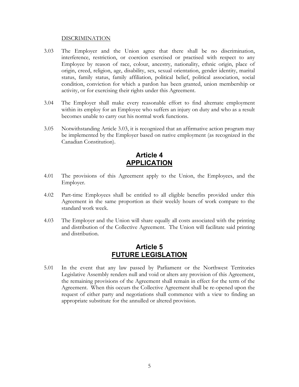#### <span id="page-7-1"></span>**DISCRIMINATION**

- <span id="page-7-0"></span>3.03 The Employer and the Union agree that there shall be no discrimination, interference, restriction, or coercion exercised or practised with respect to any Employee by reason of race, colour, ancestry, nationality, ethnic origin, place of origin, creed, religion, age, disability, sex, sexual orientation, gender identity, marital status, family status, family affiliation, political belief, political association, social condition, conviction for which a pardon has been granted, union membership or activity, or for exercising their rights under this Agreement.
- 3.04 The Employer shall make every reasonable effort to find alternate employment within its employ for an Employee who suffers an injury on duty and who as a result becomes unable to carry out his normal work functions.
- 3.05 Notwithstanding Article [3.03,](#page-7-1) it is recognized that an affirmative action program may be implemented by the Employer based on native employment (as recognized in the Canadian Constitution).

### **Article 4 APPLICATION**

- 4.01 The provisions of this Agreement apply to the Union, the Employees, and the Employer.
- 4.02 Part-time Employees shall be entitled to all eligible benefits provided under this Agreement in the same proportion as their weekly hours of work compare to the standard work week.
- 4.03 The Employer and the Union will share equally all costs associated with the printing and distribution of the Collective Agreement. The Union will facilitate said printing and distribution.

### **Article 5 FUTURE LEGISLATION**

5.01 In the event that any law passed by Parliament or the Northwest Territories Legislative Assembly renders null and void or alters any provision of this Agreement, the remaining provisions of the Agreement shall remain in effect for the term of the Agreement. When this occurs the Collective Agreement shall be re-opened upon the request of either party and negotiations shall commence with a view to finding an appropriate substitute for the annulled or altered provision.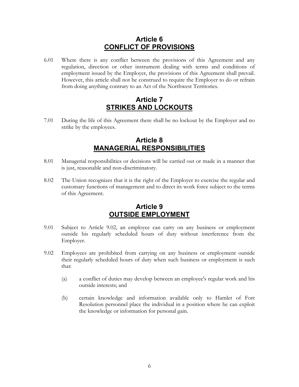### **Article 6 CONFLICT OF PROVISIONS**

<span id="page-8-0"></span>6.01 Where there is any conflict between the provisions of this Agreement and any regulation, direction or other instrument dealing with terms and conditions of employment issued by the Employer, the provisions of this Agreement shall prevail. However, this article shall not be construed to require the Employer to do or refrain from doing anything contrary to an Act of the Northwest Territories.

### **Article 7 STRIKES AND LOCKOUTS**

7.01 During the life of this Agreement there shall be no lockout by the Employer and no strike by the employees.

### **Article 8 MANAGERIAL RESPONSIBILITIES**

- 8.01 Managerial responsibilities or decisions will be carried out or made in a manner that is just, reasonable and non-discriminatory.
- 8.02 The Union recognizes that it is the right of the Employer to exercise the regular and customary functions of management and to direct its work force subject to the terms of this Agreement.

### **Article 9 OUTSIDE EMPLOYMENT**

- 9.01 Subject to Article [9.02,](#page-8-1) an employee can carry on any business or employment outside his regularly scheduled hours of duty without interference from the Employer.
- <span id="page-8-1"></span>9.02 Employees are prohibited from carrying on any business or employment outside their regularly scheduled hours of duty when such business or employment is such that:
	- (a) a conflict of duties may develop between an employee's regular work and his outside interests; and
	- (b) certain knowledge and information available only to Hamlet of Fort Resolution personnel place the individual in a position where he can exploit the knowledge or information for personal gain.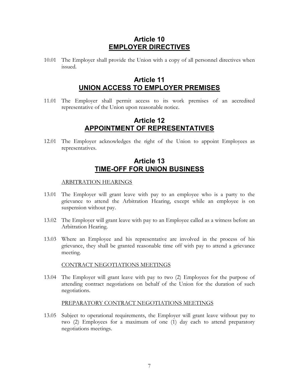### **Article 10 EMPLOYER DIRECTIVES**

<span id="page-9-0"></span>10.01 The Employer shall provide the Union with a copy of all personnel directives when issued.

### **Article 11 UNION ACCESS TO EMPLOYER PREMISES**

11.01 The Employer shall permit access to its work premises of an accredited representative of the Union upon reasonable notice.

### **Article 12 APPOINTMENT OF REPRESENTATIVES**

12.01 The Employer acknowledges the right of the Union to appoint Employees as representatives.

### **Article 13 TIME-OFF FOR UNION BUSINESS**

#### ARBITRATION HEARINGS

- 13.01 The Employer will grant leave with pay to an employee who is a party to the grievance to attend the Arbitration Hearing, except while an employee is on suspension without pay.
- 13.02 The Employer will grant leave with pay to an Employee called as a witness before an Arbitration Hearing.
- 13.03 Where an Employee and his representative are involved in the process of his grievance, they shall be granted reasonable time off with pay to attend a grievance meeting.

#### CONTRACT NEGOTIATIONS MEETINGS

13.04 The Employer will grant leave with pay to two (2) Employees for the purpose of attending contract negotiations on behalf of the Union for the duration of such negotiations.

#### PREPARATORY CONTRACT NEGOTIATIONS MEETINGS

13.05 Subject to operational requirements, the Employer will grant leave without pay to two (2) Employees for a maximum of one (1) day each to attend preparatory negotiations meetings.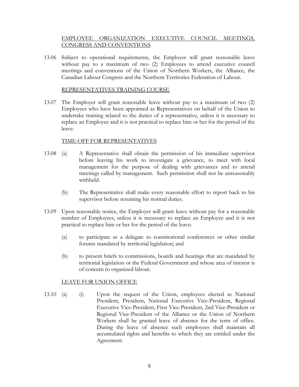#### EMPLOYEE ORGANIZATION EXECUTIVE COUNCIL MEETINGS, CONGRESS AND CONVENTIONS

13.06 Subject to operational requirements, the Employer will grant reasonable leave without pay to a maximum of two (2) Employees to attend executive council meetings and conventions of the Union of Northern Workers, the Alliance, the Canadian Labour Congress and the Northern Territories Federation of Labour.

#### REPRESENTATIVES TRAINING COURSE

13.07 The Employer will grant reasonable leave without pay to a maximum of two (2) Employees who have been appointed as Representatives on behalf of the Union to undertake training related to the duties of a representative, unless it is necessary to replace an Employee and it is not practical to replace him or her for the period of the leave.

#### TIME-OFF FOR REPRESENTATIVES

- 13.08 (a) A Representative shall obtain the permission of his immediate supervisor before leaving his work to investigate a grievance, to meet with local management for the purpose of dealing with grievances and to attend meetings called by management. Such permission shall not be unreasonably withheld.
	- (b) The Representative shall make every reasonable effort to report back to his supervisor before resuming his normal duties.
- 13.09 Upon reasonable notice, the Employer will grant leave without pay for a reasonable number of Employees, unless it is necessary to replace an Employee and it is not practical to replace him or her for the period of the leave:
	- (a) to participate as a delegate to constitutional conferences or other similar forums mandated by territorial legislation; and
	- (b) to present briefs to commissions, boards and hearings that are mandated by territorial legislation or the Federal Government and whose area of interest is of concern to organized labour.

#### LEAVE FOR UNION OFFICE

13.10 (a) (i) Upon the request of the Union, employees elected as National President, President, National Executive Vice-President, Regional Executive Vice-President, First Vice-President, 2nd Vice-President or Regional Vice-President of the Alliance or the Union of Northern Workers shall be granted leave of absence for the term of office. During the leave of absence such employees shall maintain all accumulated rights and benefits to which they are entitled under the Agreement.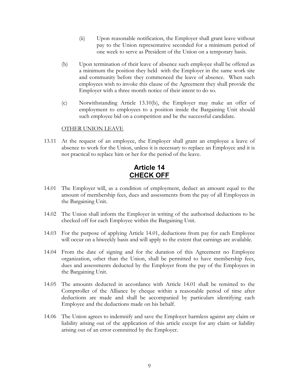- <span id="page-11-0"></span>(ii) Upon reasonable notification, the Employer shall grant leave without pay to the Union representative seconded for a minimum period of one week to serve as President of the Union on a temporary basis.
- <span id="page-11-1"></span>(b) Upon termination of their leave of absence such employee shall be offered as a minimum the position they held with the Employer in the same work site and community before they commenced the leave of absence. When such employees wish to invoke this clause of the Agreement they shall provide the Employer with a three month notice of their intent to do so.
- (c) Notwithstanding Article [13.10\(b\),](#page-11-1) the Employer may make an offer of employment to employees to a position inside the Bargaining Unit should such employee bid on a competition and be the successful candidate.

#### OTHER UNION LEAVE

13.11 At the request of an employee, the Employer shall grant an employee a leave of absence to work for the Union, unless it is necessary to replace an Employee and it is not practical to replace him or her for the period of the leave.

### **Article 14 CHECK OFF**

- <span id="page-11-2"></span>14.01 The Employer will, as a condition of employment, deduct an amount equal to the amount of membership fees, dues and assessments from the pay of all Employees in the Bargaining Unit.
- 14.02 The Union shall inform the Employer in writing of the authorised deductions to be checked off for each Employee within the Bargaining Unit.
- 14.03 For the purpose of applying Article [14.01,](#page-11-2) deductions from pay for each Employee will occur on a biweekly basis and will apply to the extent that earnings are available.
- 14.04 From the date of signing and for the duration of this Agreement no Employee organization, other than the Union, shall be permitted to have membership fees, dues and assessments deducted by the Employer from the pay of the Employees in the Bargaining Unit.
- 14.05 The amounts deducted in accordance with Article [14.01](#page-11-2) shall be remitted to the Comptroller of the Alliance by cheque within a reasonable period of time after deductions are made and shall be accompanied by particulars identifying each Employee and the deductions made on his behalf.
- 14.06 The Union agrees to indemnify and save the Employer harmless against any claim or liability arising out of the application of this article except for any claim or liability arising out of an error committed by the Employer.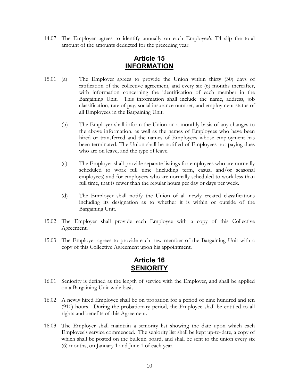<span id="page-12-0"></span>14.07 The Employer agrees to identify annually on each Employee's T4 slip the total amount of the amounts deducted for the preceding year.

### **Article 15 INFORMATION**

- 15.01 (a) The Employer agrees to provide the Union within thirty (30) days of ratification of the collective agreement, and every six (6) months thereafter, with information concerning the identification of each member in the Bargaining Unit. This information shall include the name, address, job classification, rate of pay, social insurance number, and employment status of all Employees in the Bargaining Unit.
	- (b) The Employer shall inform the Union on a monthly basis of any changes to the above information, as well as the names of Employees who have been hired or transferred and the names of Employees whose employment has been terminated. The Union shall be notified of Employees not paying dues who are on leave, and the type of leave.
	- (c) The Employer shall provide separate listings for employees who are normally scheduled to work full time (including term, casual and/or seasonal employees) and for employees who are normally scheduled to work less than full time, that is fewer than the regular hours per day or days per week.
	- (d) The Employer shall notify the Union of all newly created classifications including its designation as to whether it is within or outside of the Bargaining Unit.
- 15.02 The Employer shall provide each Employee with a copy of this Collective Agreement.
- 15.03 The Employer agrees to provide each new member of the Bargaining Unit with a copy of this Collective Agreement upon his appointment.

### **Article 16 SENIORITY**

- 16.01 Seniority is defined as the length of service with the Employer, and shall be applied on a Bargaining Unit-wide basis.
- 16.02 A newly hired Employee shall be on probation for a period of nine hundred and ten (910) hours. During the probationary period, the Employee shall be entitled to all rights and benefits of this Agreement.
- 16.03 The Employer shall maintain a seniority list showing the date upon which each Employee's service commenced. The seniority list shall be kept up-to-date, a copy of which shall be posted on the bulletin board, and shall be sent to the union every six (6) months, on January 1 and June 1 of each year.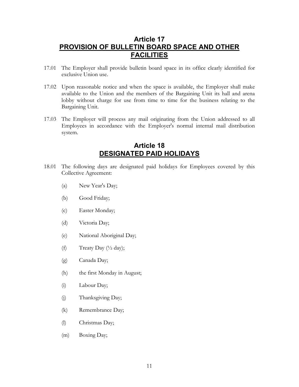### <span id="page-13-0"></span>**Article 17 PROVISION OF BULLETIN BOARD SPACE AND OTHER FACILITIES**

- 17.01 The Employer shall provide bulletin board space in its office clearly identified for exclusive Union use.
- 17.02 Upon reasonable notice and when the space is available, the Employer shall make available to the Union and the members of the Bargaining Unit its hall and arena lobby without charge for use from time to time for the business relating to the Bargaining Unit.
- 17.03 The Employer will process any mail originating from the Union addressed to all Employees in accordance with the Employer's normal internal mail distribution system.

### **Article 18 DESIGNATED PAID HOLIDAYS**

- <span id="page-13-1"></span>18.01 The following days are designated paid holidays for Employees covered by this Collective Agreement:
	- (a) New Year's Day;
	- (b) Good Friday;
	- (c) Easter Monday;
	- (d) Victoria Day;
	- (e) National Aboriginal Day;
	- (f) Treaty Day  $(\frac{1}{2} \text{ day});$
	- (g) Canada Day;
	- (h) the first Monday in August;
	- (i) Labour Day;
	- (j) Thanksgiving Day;
	- (k) Remembrance Day;
	- (l) Christmas Day;
	- (m) Boxing Day;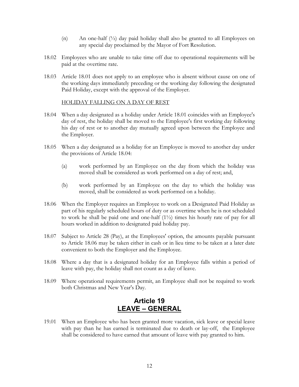- (n) An one-half  $(\frac{1}{2})$  day paid holiday shall also be granted to all Employees on any special day proclaimed by the Mayor of Fort Resolution.
- <span id="page-14-0"></span>18.02 Employees who are unable to take time off due to operational requirements will be paid at the overtime rate.
- 18.03 Article [18.01](#page-13-1) does not apply to an employee who is absent without cause on one of the working days immediately preceding or the working day following the designated Paid Holiday, except with the approval of the Employer.

#### <span id="page-14-1"></span>HOLIDAY FALLING ON A DAY OF REST

- 18.04 When a day designated as a holiday under Article [18.01](#page-13-1) coincides with an Employee's day of rest, the holiday shall be moved to the Employee's first working day following his day of rest or to another day mutually agreed upon between the Employee and the Employer.
- 18.05 When a day designated as a holiday for an Employee is moved to another day under the provisions of Article [18.04:](#page-14-1) 
	- (a) work performed by an Employee on the day from which the holiday was moved shall be considered as work performed on a day of rest; and,
	- (b) work performed by an Employee on the day to which the holiday was moved, shall be considered as work performed on a holiday.
- <span id="page-14-2"></span>18.06 When the Employer requires an Employee to work on a Designated Paid Holiday as part of his regularly scheduled hours of duty or as overtime when he is not scheduled to work he shall be paid one and one-half (1½) times his hourly rate of pay for all hours worked in addition to designated paid holiday pay.
- 18.07 Subject to [Article 28](#page-32-1) (Pay), at the Employees' option, the amounts payable pursuant to Article [18.06](#page-14-2) may be taken either in cash or in lieu time to be taken at a later date convenient to both the Employer and the Employee.
- 18.08 Where a day that is a designated holiday for an Employee falls within a period of leave with pay, the holiday shall not count as a day of leave.
- 18.09 Where operational requirements permit, an Employee shall not be required to work both Christmas and New Year's Day.

### **Article 19 LEAVE – GENERAL**

19.01 When an Employee who has been granted more vacation, sick leave or special leave with pay than he has earned is terminated due to death or lay-off, the Employee shall be considered to have earned that amount of leave with pay granted to him.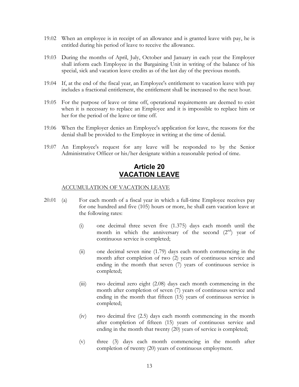- <span id="page-15-0"></span>19.02 When an employee is in receipt of an allowance and is granted leave with pay, he is entitled during his period of leave to receive the allowance.
- 19.03 During the months of April, July, October and January in each year the Employer shall inform each Employee in the Bargaining Unit in writing of the balance of his special, sick and vacation leave credits as of the last day of the previous month.
- 19.04 If, at the end of the fiscal year, an Employee's entitlement to vacation leave with pay includes a fractional entitlement, the entitlement shall be increased to the next hour.
- 19.05 For the purpose of leave or time off, operational requirements are deemed to exist when it is necessary to replace an Employee and it is impossible to replace him or her for the period of the leave or time off.
- 19.06 When the Employer denies an Employee's application for leave, the reasons for the denial shall be provided to the Employee in writing at the time of denial.
- 19.07 An Employee's request for any leave will be responded to by the Senior Administrative Officer or his/her designate within a reasonable period of time.

### **Article 20 VACATION LEAVE**

#### ACCUMULATION OF VACATION LEAVE

- 20.01 (a) For each month of a fiscal year in which a full-time Employee receives pay for one hundred and five (105) hours or more, he shall earn vacation leave at the following rates:
	- (i) one decimal three seven five (1.375) days each month until the month in which the anniversary of the second  $(2^{nd})$  year of continuous service is completed;
	- (ii) one decimal seven nine (1.79) days each month commencing in the month after completion of two (2) years of continuous service and ending in the month that seven (7) years of continuous service is completed;
	- (iii) two decimal zero eight (2.08) days each month commencing in the month after completion of seven (7) years of continuous service and ending in the month that fifteen (15) years of continuous service is completed;
	- (iv) two decimal five (2.5) days each month commencing in the month after completion of fifteen (15) years of continuous service and ending in the month that twenty (20) years of service is completed;
	- (v) three (3) days each month commencing in the month after completion of twenty (20) years of continuous employment.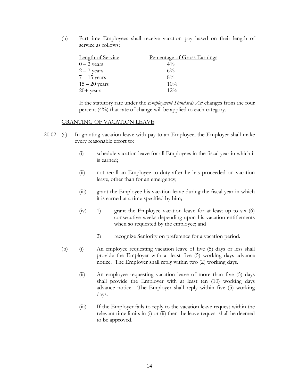(b) Part-time Employees shall receive vacation pay based on their length of service as follows:

| <b>Length of Service</b> | Percentage of Gross Earnings |
|--------------------------|------------------------------|
| $0 - 2$ years            | $4\%$                        |
| $2 - 7$ years            | $6\%$                        |
| $7 - 15$ years           | $8\%$                        |
| $15 - 20$ years          | 10%                          |
| $20+$ years              | $12\%$                       |

If the statutory rate under the *Employment Standards Act* changes from the four percent (4%) that rate of change will be applied to each category.

#### GRANTING OF VACATION LEAVE

- <span id="page-16-1"></span><span id="page-16-0"></span>20.02 (a) In granting vacation leave with pay to an Employee, the Employer shall make every reasonable effort to:
	- (i) schedule vacation leave for all Employees in the fiscal year in which it is earned;
	- (ii) not recall an Employee to duty after he has proceeded on vacation leave, other than for an emergency;
	- (iii) grant the Employee his vacation leave during the fiscal year in which it is earned at a time specified by him;
	- $(iv)$  1) grant the Employee vacation leave for at least up to six  $(6)$ consecutive weeks depending upon his vacation entitlements when so requested by the employee; and
		- 2) recognize Seniority on preference for a vacation period.
	- (b) (i) An employee requesting vacation leave of five (5) days or less shall provide the Employer with at least five (5) working days advance notice. The Employer shall reply within two (2) working days.
		- (ii) An employee requesting vacation leave of more than five (5) days shall provide the Employer with at least ten (10) working days advance notice. The Employer shall reply within five (5) working days.
		- (iii) If the Employer fails to reply to the vacation leave request within the relevant time limits in [\(i\)](#page-16-0) or [\(ii\)](#page-16-1) then the leave request shall be deemed to be approved.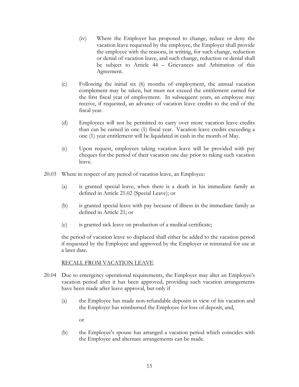- (iv) Where the Employer has proposed to change, reduce or deny the vacation leave requested by the employee, the Employer shall provide the employee with the reasons, in writing, for such change, reduction or denial of vacation leave, and such change, reduction or denial shall be subject to [Article 44](#page-41-1) – Grievances and Arbitration of this Agreement.
- (c) Following the initial six (6) months of employment, the annual vacation complement may be taken, but must not exceed the entitlement earned for the first fiscal year of employment. In subsequent years, an employee may receive, if requested, an advance of vacation leave credits to the end of the fiscal year.
- (d) Employees will not be permitted to carry over more vacation leave credits than can be earned in one (1) fiscal year. Vacation leave credits exceeding a one (1) year entitlement will be liquidated in cash in the month of May.
- (e) Upon request, employees taking vacation leave will be provided with pay cheques for the period of their vacation one day prior to taking such vacation leave.
- 20.03 Where in respect of any period of vacation leave, an Employee:
	- (a) is granted special leave, when there is a death in his immediate family as defined in Article [21.02](#page-19-0) (Special Leave); or
	- (b) is granted special leave with pay because of illness in the immediate family as defined in [Article 21;](#page-18-1) or
	- (c) is granted sick leave on production of a medical certificate;

the period of vacation leave so displaced shall either be added to the vacation period if requested by the Employee and approved by the Employer or reinstated for use at a later date.

#### RECALL FROM VACATION LEAVE

- 20.04 Due to emergency operational requirements, the Employer may alter an Employee's vacation period after it has been approved, providing such vacation arrangements have been made after leave approval, but only if
	- (a) the Employee has made non-refundable deposits in view of his vacation and the Employer has reimbursed the Employee for loss of deposit, and,

or

(b) the Employee's spouse has arranged a vacation period which coincides with the Employee and alternate arrangements can be made.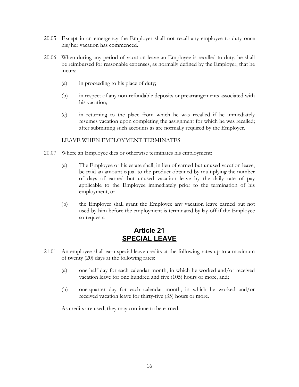- <span id="page-18-0"></span>20.05 Except in an emergency the Employer shall not recall any employee to duty once his/her vacation has commenced.
- 20.06 When during any period of vacation leave an Employee is recalled to duty, he shall be reimbursed for reasonable expenses, as normally defined by the Employer, that he incurs:
	- (a) in proceeding to his place of duty;
	- (b) in respect of any non-refundable deposits or prearrangements associated with his vacation;
	- (c) in returning to the place from which he was recalled if he immediately resumes vacation upon completing the assignment for which he was recalled; after submitting such accounts as are normally required by the Employer.

#### LEAVE WHEN EMPLOYMENT TERMINATES

- 20.07 Where an Employee dies or otherwise terminates his employment:
	- (a) The Employee or his estate shall, in lieu of earned but unused vacation leave, be paid an amount equal to the product obtained by multiplying the number of days of earned but unused vacation leave by the daily rate of pay applicable to the Employee immediately prior to the termination of his employment, or
	- (b) the Employer shall grant the Employee any vacation leave earned but not used by him before the employment is terminated by lay-off if the Employee so requests.

### <span id="page-18-1"></span>**Article 21 SPECIAL LEAVE**

- 21.01 An employee shall earn special leave credits at the following rates up to a maximum of twenty (20) days at the following rates:
	- (a) one-half day for each calendar month, in which he worked and/or received vacation leave for one hundred and five (105) hours or more, and;
	- (b) one-quarter day for each calendar month, in which he worked and/or received vacation leave for thirty-five (35) hours or more.

As credits are used, they may continue to be earned.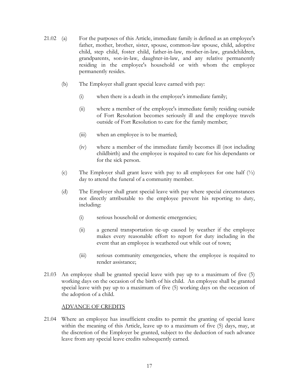- 21.02 (a) For the purposes of this Article, immediate family is defined as an employee's father, mother, brother, sister, spouse, common-law spouse, child, adoptive child, step child, foster child, father-in-law, mother-in-law, grandchildren, grandparents, son-in-law, daughter-in-law, and any relative permanently residing in the employee's household or with whom the employee permanently resides.
	- (b) The Employer shall grant special leave earned with pay:
		- (i) when there is a death in the employee's immediate family;
		- (ii) where a member of the employee's immediate family residing outside of Fort Resolution becomes seriously ill and the employee travels outside of Fort Resolution to care for the family member;
		- (iii) when an employee is to be married;
		- (iv) where a member of the immediate family becomes ill (not including childbirth) and the employee is required to care for his dependants or for the sick person.
	- (c) The Employer shall grant leave with pay to all employees for one half (½) day to attend the funeral of a community member.
	- (d) The Employer shall grant special leave with pay where special circumstances not directly attributable to the employee prevent his reporting to duty, including:
		- (i) serious household or domestic emergencies;
		- (ii) a general transportation tie-up caused by weather if the employee makes every reasonable effort to report for duty including in the event that an employee is weathered out while out of town;
		- (iii) serious community emergencies, where the employee is required to render assistance;
- 21.03 An employee shall be granted special leave with pay up to a maximum of five (5) working days on the occasion of the birth of his child. An employee shall be granted special leave with pay up to a maximum of five (5) working days on the occasion of the adoption of a child.

#### <span id="page-19-0"></span>ADVANCE OF CREDITS

21.04 Where an employee has insufficient credits to permit the granting of special leave within the meaning of this Article, leave up to a maximum of five (5) days, may, at the discretion of the Employer be granted, subject to the deduction of such advance leave from any special leave credits subsequently earned.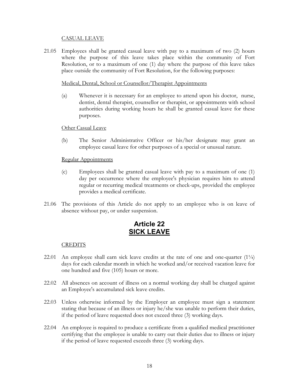#### CASUAL LEAVE

<span id="page-20-0"></span>21.05 Employees shall be granted casual leave with pay to a maximum of two (2) hours where the purpose of this leave takes place within the community of Fort Resolution, or to a maximum of one (1) day where the purpose of this leave takes place outside the community of Fort Resolution, for the following purposes:

#### Medical, Dental, School or Counsellor/Therapist Appointments

(a) Whenever it is necessary for an employee to attend upon his doctor, nurse, dentist, dental therapist, counsellor or therapist, or appointments with school authorities during working hours he shall be granted casual leave for these purposes.

#### Other Casual Leave

(b) The Senior Administrative Officer or his/her designate may grant an employee casual leave for other purposes of a special or unusual nature.

#### Regular Appointments

- (c) Employees shall be granted casual leave with pay to a maximum of one (1) day per occurrence where the employee's physician requires him to attend regular or recurring medical treatments or check-ups, provided the employee provides a medical certificate.
- 21.06 The provisions of this Article do not apply to an employee who is on leave of absence without pay, or under suspension.

### <span id="page-20-1"></span>**Article 22 SICK LEAVE**

#### CREDITS

- 22.01 An employee shall earn sick leave credits at the rate of one and one-quarter  $(1/4)$ days for each calendar month in which he worked and/or received vacation leave for one hundred and five (105) hours or more.
- 22.02 All absences on account of illness on a normal working day shall be charged against an Employee's accumulated sick leave credits.
- 22.03 Unless otherwise informed by the Employer an employee must sign a statement stating that because of an illness or injury he/she was unable to perform their duties, if the period of leave requested does not exceed three (3) working days.
- 22.04 An employee is required to produce a certificate from a qualified medical practitioner certifying that the employee is unable to carry out their duties due to illness or injury if the period of leave requested exceeds three (3) working days.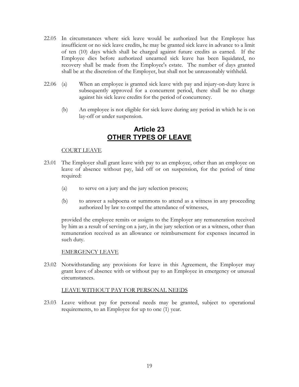- <span id="page-21-0"></span>22.05 In circumstances where sick leave would be authorized but the Employee has insufficient or no sick leave credits, he may be granted sick leave in advance to a limit of ten (10) days which shall be charged against future credits as earned. If the Employee dies before authorized unearned sick leave has been liquidated, no recovery shall be made from the Employee's estate. The number of days granted shall be at the discretion of the Employer, but shall not be unreasonably withheld.
- 22.06 (a) When an employee is granted sick leave with pay and injury-on-duty leave is subsequently approved for a concurrent period, there shall be no charge against his sick leave credits for the period of concurrency.
	- (b) An employee is not eligible for sick leave during any period in which he is on lay-off or under suspension.

### **Article 23 OTHER TYPES OF LEAVE**

#### COURT LEAVE

- 23.01 The Employer shall grant leave with pay to an employee, other than an employee on leave of absence without pay, laid off or on suspension, for the period of time required:
	- (a) to serve on a jury and the jury selection process;
	- (b) to answer a subpoena or summons to attend as a witness in any proceeding authorized by law to compel the attendance of witnesses,

provided the employee remits or assigns to the Employer any remuneration received by him as a result of serving on a jury, in the jury selection or as a witness, other than remuneration received as an allowance or reimbursement for expenses incurred in such duty.

#### EMERGENCY LEAVE

23.02 Notwithstanding any provisions for leave in this Agreement, the Employer may grant leave of absence with or without pay to an Employee in emergency or unusual circumstances.

#### LEAVE WITHOUT PAY FOR PERSONAL NEEDS

23.03 Leave without pay for personal needs may be granted, subject to operational requirements, to an Employee for up to one (1) year.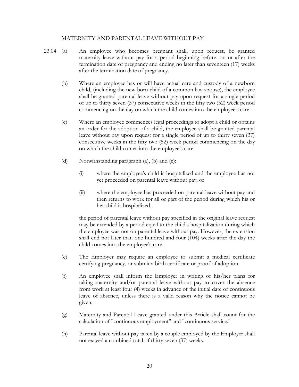#### <span id="page-22-0"></span>MATERNITY AND PARENTAL LEAVE WITHOUT PAY

- <span id="page-22-2"></span><span id="page-22-1"></span>23.04 (a) An employee who becomes pregnant shall, upon request, be granted maternity leave without pay for a period beginning before, on or after the termination date of pregnancy and ending no later than seventeen (17) weeks after the termination date of pregnancy.
	- (b) Where an employee has or will have actual care and custody of a newborn child, (including the new born child of a common law spouse), the employee shall be granted parental leave without pay upon request for a single period of up to thirty seven (37) consecutive weeks in the fifty two (52) week period commencing on the day on which the child comes into the employee's care.
	- (c) Where an employee commences legal proceedings to adopt a child or obtains an order for the adoption of a child, the employee shall be granted parental leave without pay upon request for a single period of up to thirty seven (37) consecutive weeks in the fifty two (52) week period commencing on the day on which the child comes into the employee's care.
	- (d) Notwithstanding paragraph [\(a\),](#page-22-0) [\(b\)](#page-22-1) and [\(c\):](#page-22-2) 
		- (i) where the employee's child is hospitalized and the employee has not yet proceeded on parental leave without pay, or
		- (ii) where the employee has proceeded on parental leave without pay and then returns to work for all or part of the period during which his or her child is hospitalized,

the period of parental leave without pay specified in the original leave request may be extended by a period equal to the child's hospitalization during which the employee was not on parental leave without pay. However, the extension shall end not later than one hundred and four (104) weeks after the day the child comes into the employee's care.

- (e) The Employer may require an employee to submit a medical certificate certifying pregnancy, or submit a birth certificate or proof of adoption.
- (f) An employee shall inform the Employer in writing of his/her plans for taking maternity and/or parental leave without pay to cover the absence from work at least four (4) weeks in advance of the initial date of continuous leave of absence, unless there is a valid reason why the notice cannot be given.
- (g) Maternity and Parental Leave granted under this Article shall count for the calculation of "continuous employment" and "continuous service."
- (h) Parental leave without pay taken by a couple employed by the Employer shall not exceed a combined total of thirty seven (37) weeks.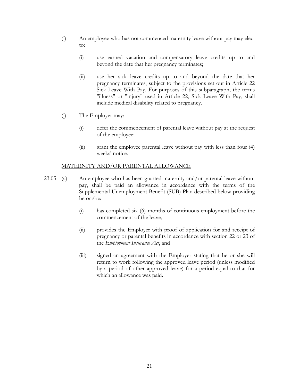- (i) An employee who has not commenced maternity leave without pay may elect to:
	- (i) use earned vacation and compensatory leave credits up to and beyond the date that her pregnancy terminates;
	- (ii) use her sick leave credits up to and beyond the date that her pregnancy terminates, subject to the provisions set out in [Article 22](#page-20-1)  Sick Leave With Pay. For purposes of this subparagraph, the terms "illness" or "injury" used in [Article 22,](#page-20-1) Sick Leave With Pay, shall include medical disability related to pregnancy.
- (j) The Employer may:
	- (i) defer the commencement of parental leave without pay at the request of the employee;
	- (ii) grant the employee parental leave without pay with less than four (4) weeks' notice.

#### <span id="page-23-1"></span>MATERNITY AND/OR PARENTAL ALLOWANCE

- <span id="page-23-0"></span>23.05 (a) An employee who has been granted maternity and/or parental leave without pay, shall be paid an allowance in accordance with the terms of the Supplemental Unemployment Benefit (SUB) Plan described below providing he or she:
	- (i) has completed six (6) months of continuous employment before the commencement of the leave,
	- (ii) provides the Employer with proof of application for and receipt of pregnancy or parental benefits in accordance with section 22 or 23 of the *Employment Insurance Act*, and
	- (iii) signed an agreement with the Employer stating that he or she will return to work following the approved leave period (unless modified by a period of other approved leave) for a period equal to that for which an allowance was paid.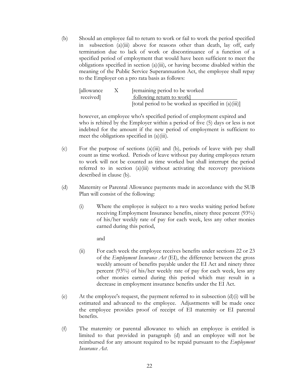(b) Should an employee fail to return to work or fail to work the period specified in subsection [\(a\)\(iii\) above](#page-23-0) for reasons other than death, lay off, early termination due to lack of work or discontinuance of a function of a specified period of employment that would have been sufficient to meet the obligations specified in section [\(a\)\(iii\),](#page-23-0) or having become disabled within the meaning of the Public Service Superannuation Act, the employee shall repay to the Employer on a pro rata basis as follows:

| [allowance] | $\mathbf{X}$ | remaining period to be worked                           |
|-------------|--------------|---------------------------------------------------------|
| received]   |              | following return to work                                |
|             |              | [total period to be worked as specified in $(a)(iii)$ ] |

however, an employee who's specified period of employment expired and who is rehired by the Employer within a period of five (5) days or less is not indebted for the amount if the new period of employment is sufficient to meet the obligations specified in (a)(iii).

- (c) For the purpose of sections [\(a\)\(iii\)](#page-23-0) and [\(b\),](#page-24-0) periods of leave with pay shall count as time worked. Periods of leave without pay during employees return to work will not be counted as time worked but shall interrupt the period referred to in section [\(a\)\(iii\)](#page-23-0) without activating the recovery provisions described in clause [\(b\).](#page-24-0)
- <span id="page-24-2"></span>(d) Maternity or Parental Allowance payments made in accordance with the SUB Plan will consist of the following:
	- (i) Where the employee is subject to a two weeks waiting period before receiving Employment Insurance benefits, ninety three percent (93%) of his/her weekly rate of pay for each week, less any other monies earned during this period,

<span id="page-24-1"></span>and

- (ii) For each week the employee receives benefits under sections 22 or 23 of the *Employment Insurance Act* (EI), the difference between the gross weekly amount of benefits payable under the EI Act and ninety three percent (93%) of his/her weekly rate of pay for each week, less any other monies earned during this period which may result in a decrease in employment insurance benefits under the EI Act.
- <span id="page-24-0"></span>(e) At the employee's request, the payment referred to in subsection  $(d)(i)$  will be estimated and advanced to the employee. Adjustments will be made once the employee provides proof of receipt of EI maternity or EI parental benefits.
- (f) The maternity or parental allowance to which an employee is entitled is limited to that provided in paragraph [\(d\)](#page-24-2) and an employee will not be reimbursed for any amount required to be repaid pursuant to the *Employment Insurance Act*.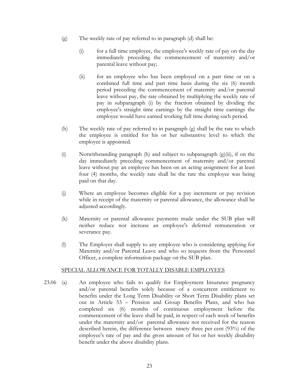- <span id="page-25-2"></span><span id="page-25-0"></span>(g) The weekly rate of pay referred to in paragraph [\(d\) s](#page-24-2)hall be:
	- (i) for a full time employee, the employee's weekly rate of pay on the day immediately preceding the commencement of maternity and/or parental leave without pay;
	- (ii) for an employee who has been employed on a part time or on a combined full time and part time basis during the six (6) month period preceding the commencement of maternity and/or parental leave without pay, the rate obtained by multiplying the weekly rate of pay in subparagraph (i) by the fraction obtained by dividing the employee's straight time earnings by the straight time earnings the employee would have earned working full time during such period.
- <span id="page-25-1"></span>(h) The weekly rate of pay referred to in paragraph [\(g\)](#page-25-0) shall be the rate to which the employee is entitled for his or her substantive level to which the employee is appointed.
- (i) Notwithstanding paragraph [\(h\)](#page-25-1) and subject to subparagraph  $(g)(ii)$ , if on the day immediately preceding commencement of maternity and/or parental leave without pay an employee has been on an acting assignment for at least four (4) months, the weekly rate shall be the rate the employee was being paid on that day.
- (j) Where an employee becomes eligible for a pay increment or pay revision while in receipt of the maternity or parental allowance, the allowance shall be adjusted accordingly.
- (k) Maternity or parental allowance payments made under the SUB plan will neither reduce nor increase an employee's deferred remuneration or severance pay.
- (l) The Employer shall supply to any employee who is considering applying for Maternity and/or Parental Leave and who so requests from the Personnel Officer, a complete information package on the SUB plan.

#### SPECIAL ALLOWANCE FOR TOTALLY DISABLE EMPLOYEES

23.06 (a) An employee who fails to qualify for Employment Insurance pregnancy and/or parental benefits solely because of a concurrent entitlement to benefits under the Long Term Disability or Short Term Disability plans set out in [Article 53](#page-52-1) – Pension and Group Benefits Plans, and who has completed six (6) months of continuous employment before the commencement of the leave shall be paid, in respect of each week of benefits under the maternity and/or parental allowance not received for the reason described herein, the difference between ninety three per cent (93%) of the employee's rate of pay and the gross amount of his or her weekly disability benefit under the above disability plans.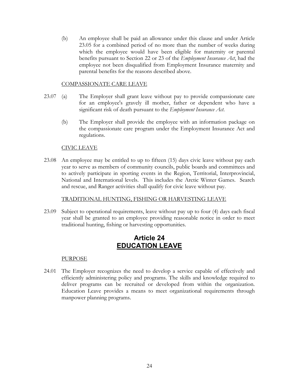<span id="page-26-0"></span>(b) An employee shall be paid an allowance under this clause and under Article [23.05](#page-23-1) for a combined period of no more than the number of weeks during which the employee would have been eligible for maternity or parental benefits pursuant to Section 22 or 23 of the *Employment Insurance Act*, had the employee not been disqualified from Employment Insurance maternity and parental benefits for the reasons described above.

#### COMPASSIONATE CARE LEAVE

- 23.07 (a) The Employer shall grant leave without pay to provide compassionate care for an employee's gravely ill mother, father or dependent who have a significant risk of death pursuant to the *Employment Insurance Act*.
	- (b) The Employer shall provide the employee with an information package on the compassionate care program under the Employment Insurance Act and regulations.

#### CIVIC LEAVE

23.08 An employee may be entitled to up to fifteen (15) days civic leave without pay each year to serve as members of community councils, public boards and committees and to actively participate in sporting events in the Region, Territorial, Interprovincial, National and International levels. This includes the Arctic Winter Games. Search and rescue, and Ranger activities shall qualify for civic leave without pay.

#### TRADITIONAL HUNTING, FISHING OR HARVESTING LEAVE

23.09 Subject to operational requirements, leave without pay up to four (4) days each fiscal year shall be granted to an employee providing reasonable notice in order to meet traditional hunting, fishing or harvesting opportunities.

### **Article 24 EDUCATION LEAVE**

#### PURPOSE

24.01 The Employer recognizes the need to develop a service capable of effectively and efficiently administering policy and programs. The skills and knowledge required to deliver programs can be recruited or developed from within the organization. Education Leave provides a means to meet organizational requirements through manpower planning programs.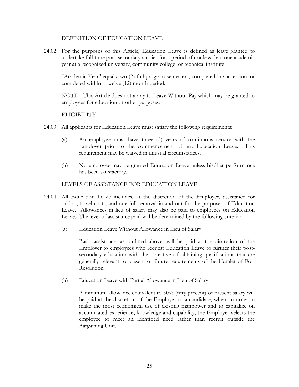#### DEFINITION OF EDUCATION LEAVE

24.02 For the purposes of this Article, Education Leave is defined as leave granted to undertake full-time post-secondary studies for a period of not less than one academic year at a recognized university, community college, or technical institute.

"Academic Year" equals two (2) full program semesters, completed in succession, or completed within a twelve (12) month period.

NOTE - This Article does not apply to Leave Without Pay which may be granted to employees for education or other purposes.

#### **ELIGIBILITY**

- 24.03 All applicants for Education Leave must satisfy the following requirements:
	- (a) An employee must have three (3) years of continuous service with the Employer prior to the commencement of any Education Leave. This requirement may be waived in unusual circumstances.
	- (b) No employee may be granted Education Leave unless his/her performance has been satisfactory.

#### LEVELS OF ASSISTANCE FOR EDUCATION LEAVE

- 24.04 All Education Leave includes, at the discretion of the Employer, assistance for tuition, travel costs, and one full removal in and out for the purposes of Education Leave. Allowances in lieu of salary may also be paid to employees on Education Leave. The level of assistance paid will be determined by the following criteria:
	- (a) Education Leave Without Allowance in Lieu of Salary

Basic assistance, as outlined above, will be paid at the discretion of the Employer to employees who request Education Leave to further their postsecondary education with the objective of obtaining qualifications that are generally relevant to present or future requirements of the Hamlet of Fort Resolution.

(b) Education Leave with Partial Allowance in Lieu of Salary

A minimum allowance equivalent to 50% (fifty percent) of present salary will be paid at the discretion of the Employer to a candidate, when, in order to make the most economical use of existing manpower and to capitalize on accumulated experience, knowledge and capability, the Employer selects the employee to meet an identified need rather than recruit outside the Bargaining Unit.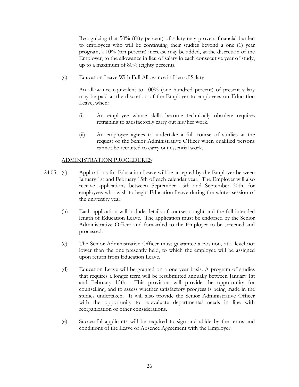Recognizing that 50% (fifty percent) of salary may prove a financial burden to employees who will be continuing their studies beyond a one (1) year program, a 10% (ten percent) increase may be added, at the discretion of the Employer, to the allowance in lieu of salary in each consecutive year of study, up to a maximum of 80% (eighty percent).

(c) Education Leave With Full Allowance in Lieu of Salary

An allowance equivalent to 100% (one hundred percent) of present salary may be paid at the discretion of the Employer to employees on Education Leave, when:

- (i) An employee whose skills become technically obsolete requires retraining to satisfactorily carry out his/her work.
- (ii) An employee agrees to undertake a full course of studies at the request of the Senior Administrative Officer when qualified persons cannot be recruited to carry out essential work.

#### ADMINISTRATION PROCEDURES

- 24.05 (a) Applications for Education Leave will be accepted by the Employer between January 1st and February 15th of each calendar year. The Employer will also receive applications between September 15th and September 30th, for employees who wish to begin Education Leave during the winter session of the university year.
	- (b) Each application will include details of courses sought and the full intended length of Education Leave. The application must be endorsed by the Senior Administrative Officer and forwarded to the Employer to be screened and processed.
	- (c) The Senior Administrative Officer must guarantee a position, at a level not lower than the one presently held, to which the employee will be assigned upon return from Education Leave.
	- (d) Education Leave will be granted on a one year basis. A program of studies that requires a longer term will be resubmitted annually between January 1st and February 15th. This provision will provide the opportunity for counselling, and to assess whether satisfactory progress is being made in the studies undertaken. It will also provide the Senior Administrative Officer with the opportunity to re-evaluate departmental needs in line with reorganization or other considerations.
	- (e) Successful applicants will be required to sign and abide by the terms and conditions of the Leave of Absence Agreement with the Employer.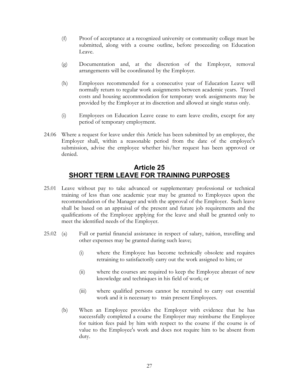- <span id="page-29-0"></span>(f) Proof of acceptance at a recognized university or community college must be submitted, along with a course outline, before proceeding on Education Leave.
- (g) Documentation and, at the discretion of the Employer, removal arrangements will be coordinated by the Employer.
- (h) Employees recommended for a consecutive year of Education Leave will normally return to regular work assignments between academic years. Travel costs and housing accommodation for temporary work assignments may be provided by the Employer at its discretion and allowed at single status only.
- (i) Employees on Education Leave cease to earn leave credits, except for any period of temporary employment.
- 24.06 Where a request for leave under this Article has been submitted by an employee, the Employer shall, within a reasonable period from the date of the employee's submission, advise the employee whether his/her request has been approved or denied.

### **Article 25 SHORT TERM LEAVE FOR TRAINING PURPOSES**

- <span id="page-29-1"></span>25.01 Leave without pay to take advanced or supplementary professional or technical training of less than one academic year may be granted to Employees upon the recommendation of the Manager and with the approval of the Employer. Such leave shall be based on an appraisal of the present and future job requirements and the qualifications of the Employee applying for the leave and shall be granted only to meet the identified needs of the Employer.
- 25.02 (a) Full or partial financial assistance in respect of salary, tuition, travelling and other expenses may be granted during such leave;
	- (i) where the Employee has become technically obsolete and requires retraining to satisfactorily carry out the work assigned to him; or
	- (ii) where the courses are required to keep the Employee abreast of new knowledge and techniques in his field of work; or
	- (iii) where qualified persons cannot be recruited to carry out essential work and it is necessary to train present Employees.
	- (b) When an Employee provides the Employer with evidence that he has successfully completed a course the Employer may reimburse the Employee for tuition fees paid by him with respect to the course if the course is of value to the Employee's work and does not require him to be absent from duty.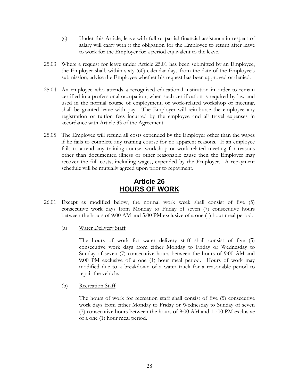- <span id="page-30-0"></span>(c) Under this Article, leave with full or partial financial assistance in respect of salary will carry with it the obligation for the Employee to return after leave to work for the Employer for a period equivalent to the leave.
- 25.03 Where a request for leave under Article [25.01](#page-29-1) has been submitted by an Employee, the Employer shall, within sixty (60) calendar days from the date of the Employee's submission, advise the Employee whether his request has been approved or denied.
- 25.04 An employee who attends a recognized educational institution in order to remain certified in a professional occupation, when such certification is required by law and used in the normal course of employment, or work-related workshop or meeting, shall be granted leave with pay. The Employer will reimburse the employee any registration or tuition fees incurred by the employee and all travel expenses in accordance with [Article 33](#page-35-1) of the Agreement.
- 25.05 The Employee will refund all costs expended by the Employer other than the wages if he fails to complete any training course for no apparent reasons. If an employee fails to attend any training course, workshop or work-related meeting for reasons other than documented illness or other reasonable cause then the Employer may recover the full costs, including wages, expended by the Employer. A repayment schedule will be mutually agreed upon prior to repayment.

### **Article 26 HOURS OF WORK**

- 26.01 Except as modified below, the normal work week shall consist of five (5) consecutive work days from Monday to Friday of seven (7) consecutive hours between the hours of 9:00 AM and 5:00 PM exclusive of a one (1) hour meal period.
	- (a) Water Delivery Staff

The hours of work for water delivery staff shall consist of five (5) consecutive work days from either Monday to Friday or Wednesday to Sunday of seven (7) consecutive hours between the hours of 9:00 AM and 9:00 PM exclusive of a one (1) hour meal period. Hours of work may modified due to a breakdown of a water truck for a reasonable period to repair the vehicle.

(b) Recreation Staff

The hours of work for recreation staff shall consist of five (5) consecutive work days from either Monday to Friday or Wednesday to Sunday of seven (7) consecutive hours between the hours of 9:00 AM and 11:00 PM exclusive of a one (1) hour meal period.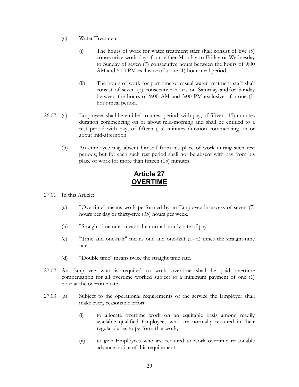- <span id="page-31-0"></span>(c) Water Treatment
	- (i) The hours of work for water treatment staff shall consist of five (5) consecutive work days from either Monday to Friday or Wednesday to Sunday of seven (7) consecutive hours between the hours of 9:00 AM and 5:00 PM exclusive of a one (1) hour meal period.
	- (ii) The hours of work for part-time or casual water treatment staff shall consist of seven (7) consecutive hours on Saturday and/or Sunday between the hours of 9:00 AM and 5:00 PM exclusive of a one (1) hour meal period.
- 26.02 (a) Employees shall be entitled to a rest period, with pay, of fifteen (15) minutes duration commencing on or about mid-morning and shall be entitled to a rest period with pay, of fifteen (15) minutes duration commencing on or about mid-afternoon.
	- (b) An employee may absent himself from his place of work during such rest periods, but for each such rest period shall not be absent with pay from his place of work for more than fifteen (15) minutes.

### **Article 27 OVERTIME**

- 27.01 In this Article:
	- (a) "Overtime" means work performed by an Employee in excess of seven (7) hours per day or thirty-five (35) hours per week.
	- (b) "Straight time rate" means the normal hourly rate of pay.
	- (c) "Time and one-half" means one and one-half (1-½) times the straight-time rate.
	- (d) "Double time" means twice the straight time rate.
- 27.02 An Employee who is required to work overtime shall be paid overtime compensation for all overtime worked subject to a minimum payment of one (1) hour at the overtime rate.
- 27.03 (a) Subject to the operational requirements of the service the Employer shall make every reasonable effort:
	- (i) to allocate overtime work on an equitable basis among readily available qualified Employees who are normally required in their regular duties to perform that work;
	- (ii) to give Employees who are required to work overtime reasonable advance notice of this requirement.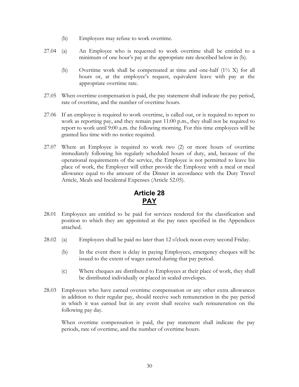- <span id="page-32-2"></span>(b) Employees may refuse to work overtime.
- <span id="page-32-0"></span>27.04 (a) An Employee who is requested to work overtime shall be entitled to a minimum of one hour's pay at the appropriate rate described below in [\(b\).](#page-32-2) 
	- (b) Overtime work shall be compensated at time and one-half (1½ X) for all hours or, at the employee's request, equivalent leave with pay at the appropriate overtime rate.
- 27.05 When overtime compensation is paid, the pay statement shall indicate the pay period, rate of overtime, and the number of overtime hours.
- 27.06 If an employee is required to work overtime, is called out, or is required to report to work as reporting pay, and they remain past 11:00 p.m., they shall not be required to report to work until 9:00 a.m. the following morning. For this time employees will be granted lieu time with no notice required.
- 27.07 Where an Employee is required to work two (2) or more hours of overtime immediately following his regularly scheduled hours of duty, and, because of the operational requirements of the service, the Employee is not permitted to leave his place of work, the Employer will either provide the Employee with a meal or meal allowance equal to the amount of the Dinner in accordance with the Duty Travel Article, Meals and Incidental Expenses (Article [52.05\)](#page-50-0).

## <span id="page-32-1"></span>**Article 28 PAY**

- 28.01 Employees are entitled to be paid for services rendered for the classification and position to which they are appointed at the pay rates specified in the Appendices attached.
- 28.02 (a) Employees shall be paid no later than 12 o'clock noon every second Friday.
	- (b) In the event there is delay in paying Employees, emergency cheques will be issued to the extent of wages earned during that pay period.
	- (c) Where cheques are distributed to Employees at their place of work, they shall be distributed individually or placed in sealed envelopes.
- 28.03 Employees who have earned overtime compensation or any other extra allowances in addition to their regular pay, should receive such remuneration in the pay period in which it was earned but in any event shall receive such remuneration on the following pay day.

When overtime compensation is paid, the pay statement shall indicate the pay periods, rate of overtime, and the number of overtime hours.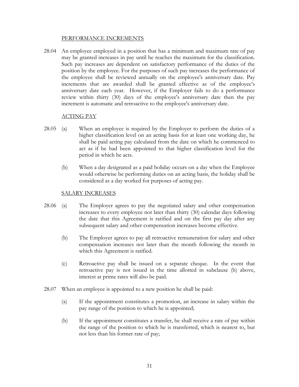#### PERFORMANCE INCREMENTS

28.04 An employee employed in a position that has a minimum and maximum rate of pay may be granted increases in pay until he reaches the maximum for the classification. Such pay increases are dependent on satisfactory performance of the duties of the position by the employee. For the purposes of such pay increases the performance of the employee shall be reviewed annually on the employee's anniversary date. Pay increments that are awarded shall be granted effective as of the employee's anniversary date each year. However, if the Employer fails to do a performance review within thirty (30) days of the employee's anniversary date then the pay increment is automatic and retroactive to the employee's anniversary date.

#### ACTING PAY

- 28.05 (a) When an employee is required by the Employer to perform the duties of a higher classification level on an acting basis for at least one working day, he shall be paid acting pay calculated from the date on which he commenced to act as if he had been appointed to that higher classification level for the period in which he acts.
	- (b) When a day designated as a paid holiday occurs on a day when the Employee would otherwise be performing duties on an acting basis, the holiday shall be considered as a day worked for purposes of acting pay.

#### SALARY INCREASES

- <span id="page-33-0"></span>28.06 (a) The Employer agrees to pay the negotiated salary and other compensation increases to every employee not later than thirty (30) calendar days following the date that this Agreement is ratified and on the first pay day after any subsequent salary and other compensation increases become effective.
	- (b) The Employer agrees to pay all retroactive remuneration for salary and other compensation increases not later than the month following the month in which this Agreement is ratified.
	- (c) Retroactive pay shall be issued on a separate cheque. In the event that retroactive pay is not issued in the time allotted in subclause [\(b\) above,](#page-33-0)  interest at prime rates will also be paid.
- 28.07 When an employee is appointed to a new position he shall be paid:
	- (a) If the appointment constitutes a promotion, an increase in salary within the pay range of the position to which he is appointed;
	- (b) If the appointment constitutes a transfer, he shall receive a rate of pay within the range of the position to which he is transferred, which is nearest to, but not less than his former rate of pay;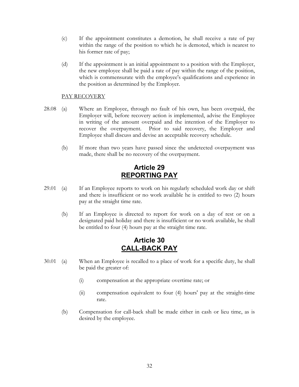- <span id="page-34-0"></span>(c) If the appointment constitutes a demotion, he shall receive a rate of pay within the range of the position to which he is demoted, which is nearest to his former rate of pay;
- (d) If the appointment is an initial appointment to a position with the Employer, the new employee shall be paid a rate of pay within the range of the position, which is commensurate with the employee's qualifications and experience in the position as determined by the Employer.

#### PAY RECOVERY

- 28.08 (a) Where an Employee, through no fault of his own, has been overpaid, the Employer will, before recovery action is implemented, advise the Employee in writing of the amount overpaid and the intention of the Employer to recover the overpayment. Prior to said recovery, the Employer and Employee shall discuss and devise an acceptable recovery schedule.
	- (b) If more than two years have passed since the undetected overpayment was made, there shall be no recovery of the overpayment.

### **Article 29 REPORTING PAY**

- 29.01 (a) If an Employee reports to work on his regularly scheduled work day or shift and there is insufficient or no work available he is entitled to two (2) hours pay at the straight time rate.
	- (b) If an Employee is directed to report for work on a day of rest or on a designated paid holiday and there is insufficient or no work available, he shall be entitled to four (4) hours pay at the straight time rate.

### **Article 30 CALL-BACK PAY**

- 30.01 (a) When an Employee is recalled to a place of work for a specific duty, he shall be paid the greater of:
	- (i) compensation at the appropriate overtime rate; or
	- (ii) compensation equivalent to four (4) hours' pay at the straight-time rate.
	- (b) Compensation for call-back shall be made either in cash or lieu time, as is desired by the employee.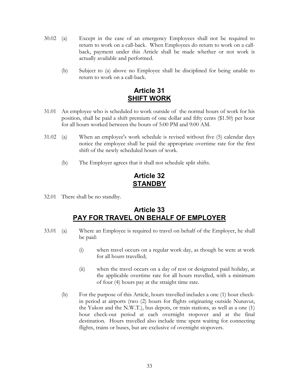- <span id="page-35-2"></span><span id="page-35-0"></span>30.02 (a) Except in the case of an emergency Employees shall not be required to return to work on a call-back. When Employees do return to work on a callback, payment under this Article shall be made whether or not work is actually available and performed.
	- (b) Subject to [\(a\)](#page-35-2) above no Employee shall be disciplined for being unable to return to work on a call-back.

### **Article 31 SHIFT WORK**

- 31.01 An employee who is scheduled to work outside of the normal hours of work for his position, shall be paid a shift premium of one dollar and fifty cents (\$1.50) per hour for all hours worked between the hours of 5:00 PM and 9:00 AM.
- 31.02 (a) When an employee's work schedule is revised without five (5) calendar days notice the employee shall be paid the appropriate overtime rate for the first shift of the newly scheduled hours of work.
	- (b) The Employer agrees that it shall not schedule split shifts.

### **Article 32 STANDBY**

32.01 There shall be no standby.

### <span id="page-35-1"></span>**Article 33 PAY FOR TRAVEL ON BEHALF OF EMPLOYER**

- 33.01 (a) Where an Employee is required to travel on behalf of the Employer, he shall be paid:
	- (i) when travel occurs on a regular work day, as though he were at work for all hours travelled;
	- (ii) when the travel occurs on a day of rest or designated paid holiday, at the applicable overtime rate for all hours travelled, with a minimum of four (4) hours pay at the straight time rate.
	- (b) For the purpose of this Article, hours travelled includes a one (1) hour checkin period at airports (two (2) hours for flights originating outside Nunavut, the Yukon and the N.W.T.), bus depots, or train stations, as well as a one (1) hour check-out period at each overnight stopover and at the final destination. Hours travelled also include time spent waiting for connecting flights, trains or buses, but are exclusive of overnight stopovers.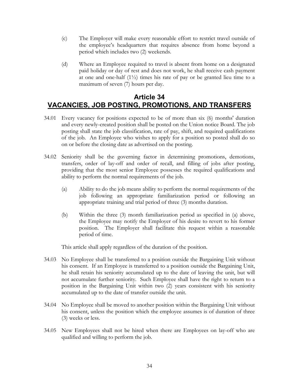- <span id="page-36-0"></span>(c) The Employer will make every reasonable effort to restrict travel outside of the employee's headquarters that requires absence from home beyond a period which includes two (2) weekends.
- (d) Where an Employee required to travel is absent from home on a designated paid holiday or day of rest and does not work, he shall receive cash payment at one and one-half  $(1\frac{1}{2})$  times his rate of pay or be granted lieu time to a maximum of seven (7) hours per day.

### **Article 34 VACANCIES, JOB POSTING, PROMOTIONS, AND TRANSFERS**

- 34.01 Every vacancy for positions expected to be of more than six (6) months' duration and every newly-created position shall be posted on the Union notice Board. The job posting shall state the job classification, rate of pay, shift, and required qualifications of the job. An Employee who wishes to apply for a position so posted shall do so on or before the closing date as advertised on the posting.
- 34.02 Seniority shall be the governing factor in determining promotions, demotions, transfers, order of lay-off and order of recall, and filling of jobs after posting, providing that the most senior Employee possesses the required qualifications and ability to perform the normal requirements of the job.
	- (a) Ability to do the job means ability to perform the normal requirements of the job following an appropriate familiarization period or following an appropriate training and trial period of three (3) months duration.
	- (b) Within the three (3) month familiarization period as specified in (a) above, the Employee may notify the Employer of his desire to revert to his former position. The Employer shall facilitate this request within a reasonable period of time.

This article shall apply regardless of the duration of the position.

- 34.03 No Employee shall be transferred to a position outside the Bargaining Unit without his consent. If an Employee is transferred to a position outside the Bargaining Unit, he shall retain his seniority accumulated up to the date of leaving the unit, but will not accumulate further seniority. Such Employee shall have the right to return to a position in the Bargaining Unit within two (2) years consistent with his seniority accumulated up to the date of transfer outside the unit.
- 34.04 No Employee shall be moved to another position within the Bargaining Unit without his consent, unless the position which the employee assumes is of duration of three (3) weeks or less.
- 34.05 New Employees shall not be hired when there are Employees on lay-off who are qualified and willing to perform the job.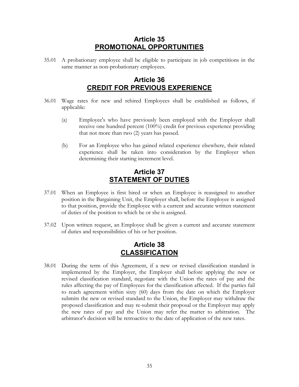### **Article 35 PROMOTIONAL OPPORTUNITIES**

<span id="page-37-0"></span>35.01 A probationary employee shall be eligible to participate in job competitions in the same manner as non-probationary employees.

### **Article 36 CREDIT FOR PREVIOUS EXPERIENCE**

- 36.01 Wage rates for new and rehired Employees shall be established as follows, if applicable:
	- (a) Employee's who have previously been employed with the Employer shall receive one hundred percent (100%) credit for previous experience providing that not more than two (2) years has passed.
	- (b) For an Employee who has gained related experience elsewhere, their related experience shall be taken into consideration by the Employer when determining their starting increment level.

### **Article 37 STATEMENT OF DUTIES**

- 37.01 When an Employee is first hired or when an Employee is reassigned to another position in the Bargaining Unit, the Employer shall, before the Employee is assigned to that position, provide the Employee with a current and accurate written statement of duties of the position to which he or she is assigned.
- 37.02 Upon written request, an Employee shall be given a current and accurate statement of duties and responsibilities of his or her position.

### **Article 38 CLASSIFICATION**

38.01 During the term of this Agreement, if a new or revised classification standard is implemented by the Employer, the Employer shall before applying the new or revised classification standard, negotiate with the Union the rates of pay and the rules affecting the pay of Employees for the classification affected. If the parties fail to reach agreement within sixty (60) days from the date on which the Employer submits the new or revised standard to the Union, the Employer may withdraw the proposed classification and may re-submit their proposal or the Employer may apply the new rates of pay and the Union may refer the matter to arbitration. The arbitrator's decision will be retroactive to the date of application of the new rates.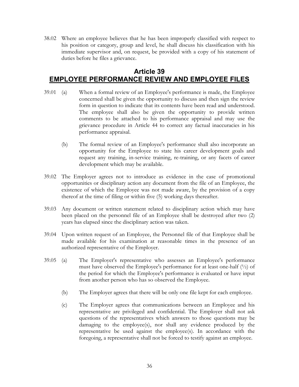<span id="page-38-0"></span>38.02 Where an employee believes that he has been improperly classified with respect to his position or category, group and level, he shall discuss his classification with his immediate supervisor and, on request, be provided with a copy of his statement of duties before he files a grievance.

### **Article 39 EMPLOYEE PERFORMANCE REVIEW AND EMPLOYEE FILES**

- 39.01 (a) When a formal review of an Employee's performance is made, the Employee concerned shall be given the opportunity to discuss and then sign the review form in question to indicate that its contents have been read and understood. The employee shall also be given the opportunity to provide written comments to be attached to his performance appraisal and may use the grievance procedure in [Article 44](#page-41-1) to correct any factual inaccuracies in his performance appraisal.
	- (b) The formal review of an Employee's performance shall also incorporate an opportunity for the Employee to state his career development goals and request any training, in-service training, re-training, or any facets of career development which may be available.
- 39.02 The Employer agrees not to introduce as evidence in the case of promotional opportunities or disciplinary action any document from the file of an Employee, the existence of which the Employee was not made aware, by the provision of a copy thereof at the time of filing or within five (5) working days thereafter.
- 39.03 Any document or written statement related to disciplinary action which may have been placed on the personnel file of an Employee shall be destroyed after two (2) years has elapsed since the disciplinary action was taken.
- 39.04 Upon written request of an Employee, the Personnel file of that Employee shall be made available for his examination at reasonable times in the presence of an authorized representative of the Employer.
- 39.05 (a) The Employer's representative who assesses an Employee's performance must have observed the Employee's performance for at least one-half  $(\frac{1}{2})$  of the period for which the Employee's performance is evaluated or have input from another person who has so observed the Employee.
	- (b) The Employer agrees that there will be only one file kept for each employee.
	- (c) The Employer agrees that communications between an Employee and his representative are privileged and confidential. The Employer shall not ask questions of the representatives which answers to those questions may be damaging to the employee(s), nor shall any evidence produced by the representative be used against the employee(s). In accordance with the foregoing, a representative shall not be forced to testify against an employee.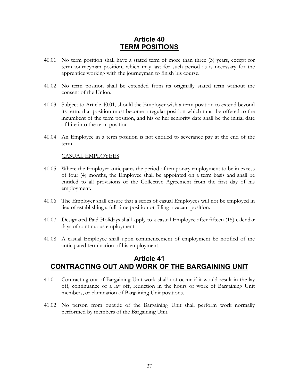### **Article 40 TERM POSITIONS**

- <span id="page-39-1"></span><span id="page-39-0"></span>40.01 No term position shall have a stated term of more than three (3) years, except for term journeyman position, which may last for such period as is necessary for the apprentice working with the journeyman to finish his course.
- 40.02 No term position shall be extended from its originally stated term without the consent of the Union.
- 40.03 Subject to Article [40.01,](#page-39-1) should the Employer wish a term position to extend beyond its term, that position must become a regular position which must be offered to the incumbent of the term position, and his or her seniority date shall be the initial date of hire into the term position.
- 40.04 An Employee in a term position is not entitled to severance pay at the end of the term.

#### CASUAL EMPLOYEES

- 40.05 Where the Employer anticipates the period of temporary employment to be in excess of four (4) months, the Employee shall be appointed on a term basis and shall be entitled to all provisions of the Collective Agreement from the first day of his employment.
- 40.06 The Employer shall ensure that a series of casual Employees will not be employed in lieu of establishing a full-time position or filling a vacant position.
- 40.07 Designated Paid Holidays shall apply to a casual Employee after fifteen (15) calendar days of continuous employment.
- 40.08 A casual Employee shall upon commencement of employment be notified of the anticipated termination of his employment.

### **Article 41 CONTRACTING OUT AND WORK OF THE BARGAINING UNIT**

- 41.01 Contracting out of Bargaining Unit work shall not occur if it would result in the lay off, continuance of a lay off, reduction in the hours of work of Bargaining Unit members, or elimination of Bargaining Unit positions.
- 41.02 No person from outside of the Bargaining Unit shall perform work normally performed by members of the Bargaining Unit.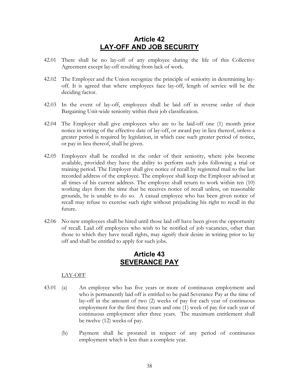### **Article 42 LAY-OFF AND JOB SECURITY**

- <span id="page-40-0"></span>42.01 There shall be no lay-off of any employee during the life of this Collective Agreement except lay-off resulting from lack of work.
- 42.02 The Employer and the Union recognize the principle of seniority in determining layoff. It is agreed that where employees face lay-off, length of service will be the deciding factor.
- 42.03 In the event of lay-off, employees shall be laid off in reverse order of their Bargaining Unit-wide seniority within their job classification.
- 42.04 The Employer shall give employees who are to be laid-off one (1) month prior notice in writing of the effective date of lay-off, or award pay in lieu thereof, unless a greater period is required by legislation, in which case such greater period of notice, or pay in lieu thereof, shall be given.
- 42.05 Employees shall be recalled in the order of their seniority, where jobs become available, provided they have the ability to perform such jobs following a trial or training period. The Employer shall give notice of recall by registered mail to the last recorded address of the employee. The employee shall keep the Employer advised at all times of his current address. The employee shall return to work within ten (10) working days from the time that he receives notice of recall unless, on reasonable grounds, he is unable to do so. A casual employee who has been given notice of recall may refuse to exercise such right without prejudicing his right to recall in the future.
- 42.06 No new employees shall be hired until those laid off have been given the opportunity of recall. Laid off employees who wish to be notified of job vacancies, other than those to which they have recall rights, may signify their desire in writing prior to lay off and shall be entitled to apply for such jobs.

### **Article 43 SEVERANCE PAY**

#### LAY-OFF

- 43.01 (a) An employee who has five years or more of continuous employment and who is permanently laid off is entitled to be paid Severance Pay at the time of lay-off in the amount of two (2) weeks of pay for each year of continuous employment for the first three years and one (1) week of pay for each year of continuous employment after three years. The maximum entitlement shall be twelve (12) weeks of pay.
	- (b) Payment shall be prorated in respect of any period of continuous employment which is less than a complete year.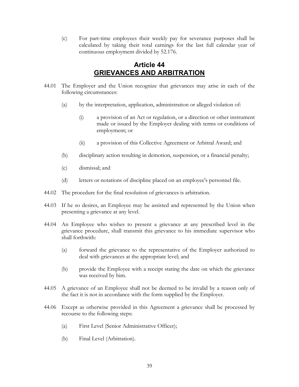<span id="page-41-0"></span>(c) For part-time employees their weekly pay for severance purposes shall be calculated by taking their total earnings for the last full calendar year of continuous employment divided by 52.176.

### <span id="page-41-1"></span>**Article 44 GRIEVANCES AND ARBITRATION**

- 44.01 The Employer and the Union recognize that grievances may arise in each of the following circumstances:
	- (a) by the interpretation, application, administration or alleged violation of:
		- (i) a provision of an Act or regulation, or a direction or other instrument made or issued by the Employer dealing with terms or conditions of employment; or
		- (ii) a provision of this Collective Agreement or Arbitral Award; and
	- (b) disciplinary action resulting in demotion, suspension, or a financial penalty;
	- (c) dismissal; and
	- (d) letters or notations of discipline placed on an employee's personnel file.
- 44.02 The procedure for the final resolution of grievances is arbitration.
- 44.03 If he so desires, an Employee may be assisted and represented by the Union when presenting a grievance at any level.
- <span id="page-41-2"></span>44.04 An Employee who wishes to present a grievance at any prescribed level in the grievance procedure, shall transmit this grievance to his immediate supervisor who shall forthwith:
	- (a) forward the grievance to the representative of the Employer authorized to deal with grievances at the appropriate level; and
	- (b) provide the Employee with a receipt stating the date on which the grievance was received by him.
- 44.05 A grievance of an Employee shall not be deemed to be invalid by a reason only of the fact it is not in accordance with the form supplied by the Employer.
- 44.06 Except as otherwise provided in this Agreement a grievance shall be processed by recourse to the following steps:
	- (a) First Level (Senior Administrative Officer);
	- (b) Final Level (Arbitration).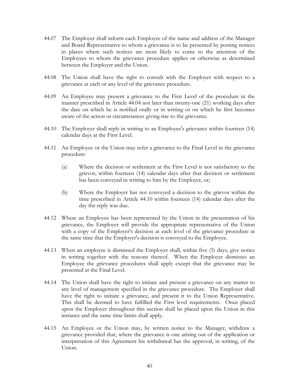- 44.07 The Employer shall inform each Employee of the name and address of the Manager and Board Representative to whom a grievance is to be presented by posting notices in places where such notices are most likely to come to the attention of the Employees to whom the grievance procedure applies or otherwise as determined between the Employer and the Union.
- 44.08 The Union shall have the right to consult with the Employer with respect to a grievance at each or any level of the grievance procedure.
- 44.09 An Employee may present a grievance to the First Level of the procedure in the manner prescribed in Article [44.04](#page-41-2) not later than twenty-one (21) working days after the date on which he is notified orally or in writing or on which he first becomes aware of the action or circumstances giving rise to the grievance.
- <span id="page-42-0"></span>44.10 The Employer shall reply in writing to an Employee's grievance within fourteen (14) calendar days at the First Level.
- 44.11 An Employee or the Union may refer a grievance to the Final Level in the grievance procedure:
	- (a) Where the decision or settlement at the First Level is not satisfactory to the grievor, within fourteen (14) calendar days after that decision or settlement has been conveyed in writing to him by the Employer, or;
	- (b) Where the Employer has not conveyed a decision to the grievor within the time prescribed in Article [44.10](#page-42-0) within fourteen (14) calendar days after the day the reply was due.
- 44.12 Where an Employee has been represented by the Union in the presentation of his grievance, the Employer will provide the appropriate representative of the Union with a copy of the Employer's decision at each level of the grievance procedure at the same time that the Employer's decision is conveyed to the Employee.
- 44.13 When an employee is dismissed the Employer shall, within five (5) days, give notice in writing together with the reasons thereof. When the Employer dismisses an Employee the grievance procedures shall apply except that the grievance may be presented at the Final Level.
- 44.14 The Union shall have the right to initiate and present a grievance on any matter to any level of management specified in the grievance procedure. The Employer shall have the right to initiate a grievance, and present it to the Union Representative. This shall be deemed to have fulfilled the First level requirements. Onus placed upon the Employer throughout this section shall be placed upon the Union in this instance and the same time limits shall apply.
- 44.15 An Employee or the Union may, by written notice to the Manager, withdraw a grievance provided that, where the grievance is one arising out of the application or interpretation of this Agreement his withdrawal has the approval, in writing, of the Union.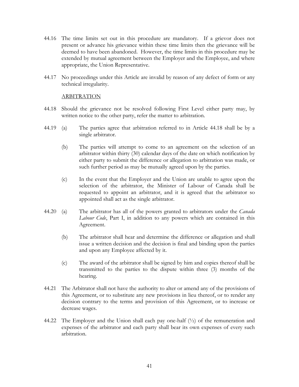- 44.16 The time limits set out in this procedure are mandatory. If a grievor does not present or advance his grievance within these time limits then the grievance will be deemed to have been abandoned. However, the time limits in this procedure may be extended by mutual agreement between the Employer and the Employee, and where appropriate, the Union Representative.
- 44.17 No proceedings under this Article are invalid by reason of any defect of form or any technical irregularity.

<span id="page-43-0"></span>ARBITRATION

- 44.18 Should the grievance not be resolved following First Level either party may, by written notice to the other party, refer the matter to arbitration.
- 44.19 (a) The parties agree that arbitration referred to in Article [44.18](#page-43-0) shall be by a single arbitrator.
	- (b) The parties will attempt to come to an agreement on the selection of an arbitrator within thirty (30) calendar days of the date on which notification by either party to submit the difference or allegation to arbitration was made, or such further period as may be mutually agreed upon by the parties.
	- (c) In the event that the Employer and the Union are unable to agree upon the selection of the arbitrator, the Minister of Labour of Canada shall be requested to appoint an arbitrator, and it is agreed that the arbitrator so appointed shall act as the single arbitrator.
- 44.20 (a) The arbitrator has all of the powers granted to arbitrators under the *Canada Labour Code*, Part I, in addition to any powers which are contained in this Agreement.
	- (b) The arbitrator shall hear and determine the difference or allegation and shall issue a written decision and the decision is final and binding upon the parties and upon any Employee affected by it.
	- (c) The award of the arbitrator shall be signed by him and copies thereof shall be transmitted to the parties to the dispute within three (3) months of the hearing.
- 44.21 The Arbitrator shall not have the authority to alter or amend any of the provisions of this Agreement, or to substitute any new provisions in lieu thereof, or to render any decision contrary to the terms and provision of this Agreement, or to increase or decrease wages.
- 44.22 The Employer and the Union shall each pay one-half (½) of the remuneration and expenses of the arbitrator and each party shall bear its own expenses of every such arbitration.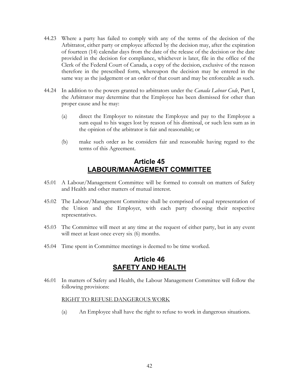- <span id="page-44-0"></span>44.23 Where a party has failed to comply with any of the terms of the decision of the Arbitrator, either party or employee affected by the decision may, after the expiration of fourteen (14) calendar days from the date of the release of the decision or the date provided in the decision for compliance, whichever is later, file in the office of the Clerk of the Federal Court of Canada, a copy of the decision, exclusive of the reason therefore in the prescribed form, whereupon the decision may be entered in the same way as the judgement or an order of that court and may be enforceable as such.
- 44.24 In addition to the powers granted to arbitrators under the *Canada Labour Code*, Part I, the Arbitrator may determine that the Employee has been dismissed for other than proper cause and he may:
	- (a) direct the Employer to reinstate the Employee and pay to the Employee a sum equal to his wages lost by reason of his dismissal, or such less sum as in the opinion of the arbitrator is fair and reasonable; or
	- (b) make such order as he considers fair and reasonable having regard to the terms of this Agreement.

### **Article 45 LABOUR/MANAGEMENT COMMITTEE**

- 45.01 A Labour/Management Committee will be formed to consult on matters of Safety and Health and other matters of mutual interest.
- 45.02 The Labour/Management Committee shall be comprised of equal representation of the Union and the Employer, with each party choosing their respective representatives.
- 45.03 The Committee will meet at any time at the request of either party, but in any event will meet at least once every six (6) months.
- 45.04 Time spent in Committee meetings is deemed to be time worked.

### **Article 46 SAFETY AND HEALTH**

46.01 In matters of Safety and Health, the Labour Management Committee will follow the following provisions:

#### RIGHT TO REFUSE DANGEROUS WORK

(a) An Employee shall have the right to refuse to work in dangerous situations.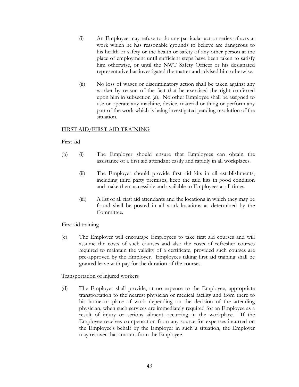- (i) An Employee may refuse to do any particular act or series of acts at work which he has reasonable grounds to believe are dangerous to his health or safety or the health or safety of any other person at the place of employment until sufficient steps have been taken to satisfy him otherwise, or until the NWT Safety Officer or his designated representative has investigated the matter and advised him otherwise.
- (ii) No loss of wages or discriminatory action shall be taken against any worker by reason of the fact that he exercised the right conferred upon him in subsection (a). No other Employee shall be assigned to use or operate any machine, device, material or thing or perform any part of the work which is being investigated pending resolution of the situation.

#### FIRST AID/FIRST AID TRAINING

#### First aid

- (b) (i) The Employer should ensure that Employees can obtain the assistance of a first aid attendant easily and rapidly in all workplaces.
	- (ii) The Employer should provide first aid kits in all establishments, including third party premises, keep the said kits in good condition and make them accessible and available to Employees at all times.
	- (iii) A list of all first aid attendants and the locations in which they may be found shall be posted in all work locations as determined by the Committee.

#### First aid training

(c) The Employer will encourage Employees to take first aid courses and will assume the costs of such courses and also the costs of refresher courses required to maintain the validity of a certificate, provided such courses are pre-approved by the Employer. Employees taking first aid training shall be granted leave with pay for the duration of the courses.

#### Transportation of injured workers

(d) The Employer shall provide, at no expense to the Employee, appropriate transportation to the nearest physician or medical facility and from there to his home or place of work depending on the decision of the attending physician, when such services are immediately required for an Employee as a result of injury or serious ailment occurring in the workplace. If the Employee receives compensation from any source for expenses incurred on the Employee's behalf by the Employer in such a situation, the Employer may recover that amount from the Employee.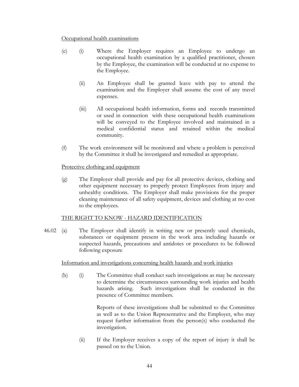#### Occupational health examinations

- (e) (i) Where the Employer requires an Employee to undergo an occupational health examination by a qualified practitioner, chosen by the Employee, the examination will be conducted at no expense to the Employee.
	- (ii) An Employee shall be granted leave with pay to attend the examination and the Employer shall assume the cost of any travel expenses.
	- (iii) All occupational health information, forms and records transmitted or used in connection with these occupational health examinations will be conveyed to the Employee involved and maintained in a medical confidential status and retained within the medical community.
- (f) The work environment will be monitored and where a problem is perceived by the Committee it shall be investigated and remedied as appropriate.

#### Protective clothing and equipment

(g) The Employer shall provide and pay for all protective devices, clothing and other equipment necessary to properly protect Employees from injury and unhealthy conditions. The Employer shall make provisions for the proper cleaning maintenance of all safety equipment, devices and clothing at no cost to the employees.

#### THE RIGHT TO KNOW - HAZARD IDENTIFICATION

46.02 (a) The Employer shall identify in writing new or presently used chemicals, substances or equipment present in the work area including hazards or suspected hazards, precautions and antidotes or procedures to be followed following exposure

#### Information and investigations concerning health hazards and work injuries

(b) (i) The Committee shall conduct such investigations as may be necessary to determine the circumstances surrounding work injuries and health hazards arising. Such investigations shall be conducted in the presence of Committee members.

> Reports of these investigations shall be submitted to the Committee as well as to the Union Representative and the Employer, who may request further information from the person(s) who conducted the investigation.

(ii) If the Employer receives a copy of the report of injury it shall be passed on to the Union.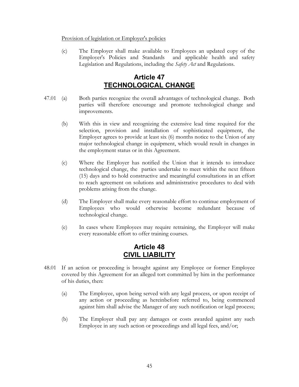#### <span id="page-47-0"></span>Provision of legislation or Employer's policies

(c) The Employer shall make available to Employees an updated copy of the Employer's Policies and Standards and applicable health and safety Legislation and Regulations, including the *Safety Act* and Regulations.

### **Article 47 TECHNOLOGICAL CHANGE**

- 47.01 (a) Both parties recognize the overall advantages of technological change. Both parties will therefore encourage and promote technological change and improvements.
	- (b) With this in view and recognizing the extensive lead time required for the selection, provision and installation of sophisticated equipment, the Employer agrees to provide at least six (6) months notice to the Union of any major technological change in equipment, which would result in changes in the employment status or in this Agreement.
	- (c) Where the Employer has notified the Union that it intends to introduce technological change, the parties undertake to meet within the next fifteen (15) days and to hold constructive and meaningful consultations in an effort to reach agreement on solutions and administrative procedures to deal with problems arising from the change.
	- (d) The Employer shall make every reasonable effort to continue employment of Employees who would otherwise become redundant because of technological change.
	- (e) In cases where Employees may require retraining, the Employer will make every reasonable effort to offer training courses.

### **Article 48 CIVIL LIABILITY**

- <span id="page-47-1"></span>48.01 If an action or proceeding is brought against any Employee or former Employee covered by this Agreement for an alleged tort committed by him in the performance of his duties, then:
	- (a) The Employee, upon being served with any legal process, or upon receipt of any action or proceeding as hereinbefore referred to, being commenced against him shall advise the Manager of any such notification or legal process;
	- (b) The Employer shall pay any damages or costs awarded against any such Employee in any such action or proceedings and all legal fees, and/or;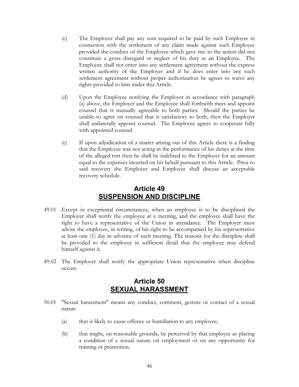- <span id="page-48-0"></span>(c) The Employer shall pay any sum required to be paid by such Employee in connection with the settlement of any claim made against such Employee provided the conduct of the Employee which gave rise to the action did not constitute a gross disregard or neglect of his duty as an Employee. The Employee shall not enter into any settlement agreement without the express written authority of the Employer and if he does enter into any such settlement agreement without proper authorization he agrees to waive any rights provided to him under this Article.
- (d) Upon the Employee notifying the Employer in accordance with paragraph [\(a\) above,](#page-47-1) the Employer and the Employee shall forthwith meet and appoint counsel that is mutually agreeable to both parties. Should the parties be unable to agree on counsel that is satisfactory to both, then the Employer shall unilaterally appoint counsel. The Employee agrees to cooperate fully with appointed counsel.
- (e) If upon adjudication of a matter arising out of this Article there is a finding that the Employee was not acting in the performance of his duties at the time of the alleged tort then he shall be indebted to the Employer for an amount equal to the expenses incurred on his behalf pursuant to this Article. Prior to said recovery the Employer and Employee shall discuss an acceptable recovery schedule.

### **Article 49 SUSPENSION AND DISCIPLINE**

- 49.01 Except in exceptional circumstances, when an employee is to be disciplined the Employer shall notify the employee at a meeting, and the employee shall have the right to have a representative of the Union in attendance. The Employer must advise the employee, in writing, of his right to be accompanied by his representative at least one (1) day in advance of such meeting. The reasons for the discipline shall be provided to the employee in sufficient detail that the employee may defend himself against it.
- 49.02 The Employer shall notify the appropriate Union representative when discipline occurs.

### **Article 50 SEXUAL HARASSMENT**

- 50.01 "Sexual harassment" means any conduct, comment, gesture or contact of a sexual nature
	- (a) that is likely to cause offence or humiliation to any employee;
	- (b) that might, on reasonable grounds, be perceived by that employee as placing a condition of a sexual nature on employment or on any opportunity for training or promotion.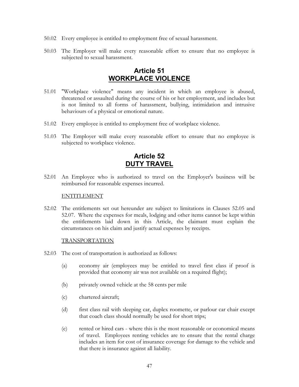- <span id="page-49-0"></span>50.02 Every employee is entitled to employment free of sexual harassment.
- 50.03 The Employer will make every reasonable effort to ensure that no employee is subjected to sexual harassment.

### **Article 51 WORKPLACE VIOLENCE**

- 51.01 "Workplace violence" means any incident in which an employee is abused, threatened or assaulted during the course of his or her employment, and includes but is not limited to all forms of harassment, bullying, intimidation and intrusive behaviours of a physical or emotional nature.
- 51.02 Every employee is entitled to employment free of workplace violence.
- 51.03 The Employer will make every reasonable effort to ensure that no employee is subjected to workplace violence.

### **Article 52 DUTY TRAVEL**

52.01 An Employee who is authorized to travel on the Employer's business will be reimbursed for reasonable expenses incurred.

#### ENTITLEMENT

52.02 The entitlements set out hereunder are subject to limitations in Clauses [52.05](#page-50-0) and [52.07.](#page-51-0) Where the expenses for meals, lodging and other items cannot be kept within the entitlements laid down in this Article, the claimant must explain the circumstances on his claim and justify actual expenses by receipts.

#### TRANSPORTATION

- 52.03 The cost of transportation is authorized as follows:
	- (a) economy air (employees may be entitled to travel first class if proof is provided that economy air was not available on a required flight);
	- (b) privately owned vehicle at the 58 cents per mile
	- (c) chartered aircraft;
	- (d) first class rail with sleeping car, duplex roomette, or parlour car chair except that coach class should normally be used for short trips;
	- (e) rented or hired cars where this is the most reasonable or economical means of travel. Employees renting vehicles are to ensure that the rental charge includes an item for cost of insurance coverage for damage to the vehicle and that there is insurance against all liability.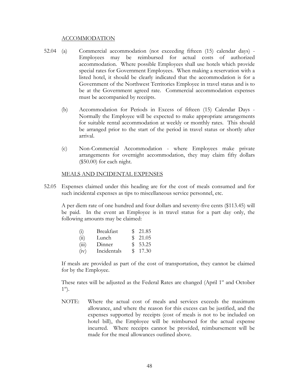#### ACCOMMODATION

- 52.04 (a) Commercial accommodation (not exceeding fifteen (15) calendar days) Employees may be reimbursed for actual costs of authorized accommodation. Where possible Employees shall use hotels which provide special rates for Government Employees. When making a reservation with a listed hotel, it should be clearly indicated that the accommodation is for a Government of the Northwest Territories Employee in travel status and is to be at the Government agreed rate. Commercial accommodation expenses must be accompanied by receipts.
	- (b) Accommodation for Periods in Excess of fifteen (15) Calendar Days Normally the Employee will be expected to make appropriate arrangements for suitable rental accommodation at weekly or monthly rates. This should be arranged prior to the start of the period in travel status or shortly after arrival.
	- (c) Non-Commercial Accommodation where Employees make private arrangements for overnight accommodation, they may claim fifty dollars (\$50.00) for each night.

#### <span id="page-50-0"></span>MEALS AND INCIDENTAL EXPENSES

52.05 Expenses claimed under this heading are for the cost of meals consumed and for such incidental expenses as tips to miscellaneous service personnel, etc.

A per diem rate of one hundred and four dollars and seventy-five cents (\$113.45) will be paid. In the event an Employee is in travel status for a part day only, the following amounts may be claimed:

| $\left( 1 \right)$ | <b>Breakfast</b> | \$21.85 |
|--------------------|------------------|---------|
| (ii)               | Lunch            | \$21.05 |
| (iii)              | Dinner           | \$53.25 |
| (iv)               | Incidentals      | \$17.30 |

If meals are provided as part of the cost of transportation, they cannot be claimed for by the Employee.

These rates will be adjusted as the Federal Rates are changed (April  $1<sup>st</sup>$  and October  $1<sup>st</sup>$ .

NOTE: Where the actual cost of meals and services exceeds the maximum allowance, and where the reason for this excess can be justified, and the expenses supported by receipts (cost of meals is not to be included on hotel bill), the Employee will be reimbursed for the actual expense incurred. Where receipts cannot be provided, reimbursement will be made for the meal allowances outlined above.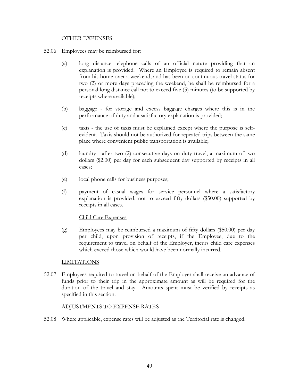#### OTHER EXPENSES

- 52.06 Employees may be reimbursed for:
	- (a) long distance telephone calls of an official nature providing that an explanation is provided. Where an Employee is required to remain absent from his home over a weekend, and has been on continuous travel status for two (2) or more days preceding the weekend, he shall be reimbursed for a personal long distance call not to exceed five (5) minutes (to be supported by receipts where available);
	- (b) baggage for storage and excess baggage charges where this is in the performance of duty and a satisfactory explanation is provided;
	- (c) taxis the use of taxis must be explained except where the purpose is selfevident. Taxis should not be authorized for repeated trips between the same place where convenient public transportation is available;
	- (d) laundry after two (2) consecutive days on duty travel, a maximum of two dollars (\$2.00) per day for each subsequent day supported by receipts in all cases;
	- (e) local phone calls for business purposes;
	- (f) payment of casual wages for service personnel where a satisfactory explanation is provided, not to exceed fifty dollars (\$50.00) supported by receipts in all cases.

#### Child Care Expenses

(g) Employees may be reimbursed a maximum of fifty dollars (\$50.00) per day per child, upon provision of receipts, if the Employee, due to the requirement to travel on behalf of the Employer, incurs child care expenses which exceed those which would have been normally incurred.

#### <span id="page-51-0"></span>LIMITATIONS

52.07 Employees required to travel on behalf of the Employer shall receive an advance of funds prior to their trip in the approximate amount as will be required for the duration of the travel and stay. Amounts spent must be verified by receipts as specified in this section.

#### ADJUSTMENTS TO EXPENSE RATES

52.08 Where applicable, expense rates will be adjusted as the Territorial rate is changed.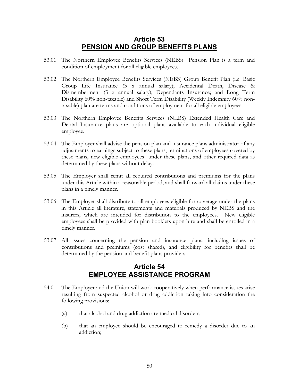### <span id="page-52-1"></span>**Article 53 PENSION AND GROUP BENEFITS PLANS**

- <span id="page-52-0"></span>53.01 The Northern Employee Benefits Services (NEBS) Pension Plan is a term and condition of employment for all eligible employees.
- 53.02 The Northern Employee Benefits Services (NEBS) Group Benefit Plan (i.e. Basic Group Life Insurance (3 x annual salary); Accidental Death, Disease & Dismemberment (3 x annual salary); Dependants Insurance; and Long Term Disability 60% non-taxable) and Short Term Disability (Weekly Indemnity 60% nontaxable) plan are terms and conditions of employment for all eligible employees.
- 53.03 The Northern Employee Benefits Services (NEBS) Extended Health Care and Dental Insurance plans are optional plans available to each individual eligible employee.
- 53.04 The Employer shall advise the pension plan and insurance plans administrator of any adjustments to earnings subject to these plans, terminations of employees covered by these plans, new eligible employees under these plans, and other required data as determined by these plans without delay.
- 53.05 The Employer shall remit all required contributions and premiums for the plans under this Article within a reasonable period, and shall forward all claims under these plans in a timely manner.
- 53.06 The Employer shall distribute to all employees eligible for coverage under the plans in this Article all literature, statements and materials produced by NEBS and the insurers, which are intended for distribution to the employees. New eligible employees shall be provided with plan booklets upon hire and shall be enrolled in a timely manner.
- 53.07 All issues concerning the pension and insurance plans, including issues of contributions and premiums (cost shared), and eligibility for benefits shall be determined by the pension and benefit plans providers.

### **Article 54 EMPLOYEE ASSISTANCE PROGRAM**

- 54.01 The Employer and the Union will work cooperatively when performance issues arise resulting from suspected alcohol or drug addiction taking into consideration the following provisions:
	- (a) that alcohol and drug addiction are medical disorders;
	- (b) that an employee should be encouraged to remedy a disorder due to an addiction;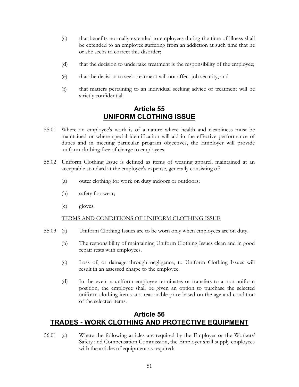- <span id="page-53-0"></span>(c) that benefits normally extended to employees during the time of illness shall be extended to an employee suffering from an addiction at such time that he or she seeks to correct this disorder;
- (d) that the decision to undertake treatment is the responsibility of the employee;
- (e) that the decision to seek treatment will not affect job security; and
- (f) that matters pertaining to an individual seeking advice or treatment will be strictly confidential.

### **Article 55 UNIFORM CLOTHING ISSUE**

- 55.01 Where an employee's work is of a nature where health and cleanliness must be maintained or where special identification will aid in the effective performance of duties and in meeting particular program objectives, the Employer will provide uniform clothing free of charge to employees.
- 55.02 Uniform Clothing Issue is defined as items of wearing apparel, maintained at an acceptable standard at the employee's expense, generally consisting of:
	- (a) outer clothing for work on duty indoors or outdoors;
	- (b) safety footwear;
	- (c) gloves.

#### TERMS AND CONDITIONS OF UNIFORM CLOTHING ISSUE

- 55.03 (a) Uniform Clothing Issues are to be worn only when employees are on duty.
	- (b) The responsibility of maintaining Uniform Clothing Issues clean and in good repair rests with employees.
	- (c) Loss of, or damage through negligence, to Uniform Clothing Issues will result in an assessed charge to the employee.
	- (d) In the event a uniform employee terminates or transfers to a non-uniform position, the employee shall be given an option to purchase the selected uniform clothing items at a reasonable price based on the age and condition of the selected items.

### **Article 56 TRADES - WORK CLOTHING AND PROTECTIVE EQUIPMENT**

56.01 (a) Where the following articles are required by the Employer or the Workers' Safety and Compensation Commission, the Employer shall supply employees with the articles of equipment as required: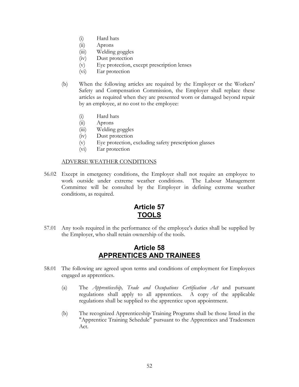- <span id="page-54-0"></span>(i) Hard hats
- (ii) Aprons
- (iii) Welding goggles
- (iv) Dust protection
- (v) Eye protection, except prescription lenses
- (vi) Ear protection
- (b) When the following articles are required by the Employer or the Workers' Safety and Compensation Commission, the Employer shall replace these articles as required when they are presented worn or damaged beyond repair by an employee, at no cost to the employee:
	- (i) Hard hats
	- (ii) Aprons
	- (iii) Welding goggles
	- (iv) Dust protection
	- (v) Eye protection, excluding safety prescription glasses
	- (vi) Ear protection

#### ADVERSE WEATHER CONDITIONS

56.02 Except in emergency conditions, the Employer shall not require an employee to work outside under extreme weather conditions. The Labour Management Committee will be consulted by the Employer in defining extreme weather conditions, as required.

### **Article 57 TOOLS**

57.01 Any tools required in the performance of the employee's duties shall be supplied by the Employer, who shall retain ownership of the tools.

### **Article 58 APPRENTICES AND TRAINEES**

- 58.01 The following are agreed upon terms and conditions of employment for Employees engaged as apprentices.
	- (a) The *Apprenticeship, Trade and Occupations Certification Act* and pursuant regulations shall apply to all apprentices. A copy of the applicable regulations shall be supplied to the apprentice upon appointment.
	- (b) The recognized Apprenticeship Training Programs shall be those listed in the "Apprentice Training Schedule" pursuant to the Apprentices and Tradesmen Act.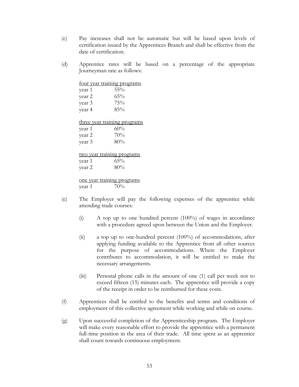- (c) Pay increases shall not be automatic but will be based upon levels of certification issued by the Apprentices Branch and shall be effective from the date of certification.
- (d) Apprentice rates will be based on a percentage of the appropriate Journeyman rate as follows:

| four year training programs  |        |  |  |  |  |
|------------------------------|--------|--|--|--|--|
| year 1                       | $55\%$ |  |  |  |  |
| year 2                       | 65%    |  |  |  |  |
| year 3                       | 75%    |  |  |  |  |
| year 4                       | 85%    |  |  |  |  |
|                              |        |  |  |  |  |
| three year training programs |        |  |  |  |  |
| year 1                       | 60%    |  |  |  |  |
| year 2                       | 70%    |  |  |  |  |
| year 3                       | 80%    |  |  |  |  |
|                              |        |  |  |  |  |
| two year training programs   |        |  |  |  |  |
| year 1                       | $65\%$ |  |  |  |  |
| year 2                       | 80%    |  |  |  |  |
|                              |        |  |  |  |  |
| one year training programs   |        |  |  |  |  |
| vear 1                       | 70%    |  |  |  |  |

- (e) The Employer will pay the following expenses of the apprentice while attending trade courses:
	- (i) A top up to one hundred percent (100%) of wages in accordance with a procedure agreed upon between the Union and the Employer.
	- (ii) a top up to one-hundred percent (100%) of accommodations, after applying funding available to the Apprentice from all other sources for the purpose of accommodations. Where the Employer contributes to accommodation, it will be entitled to make the necessary arrangements.
	- (iii) Personal phone calls in the amount of one (1) call per week not to exceed fifteen (15) minutes each. The apprentice will provide a copy of the receipt in order to be reimbursed for these costs.
- (f) Apprentices shall be entitled to the benefits and terms and conditions of employment of this collective agreement while working and while on course.
- (g) Upon successful completion of the Apprenticeship program. The Employer will make every reasonable effort to provide the apprentice with a permanent full-time position in the area of their trade. All time spent as an apprentice shall count towards continuous employment.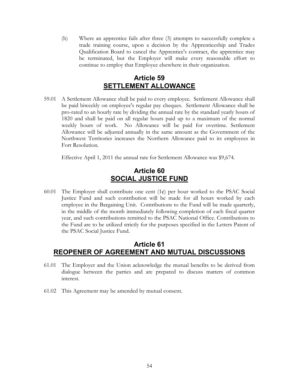<span id="page-56-0"></span>(h) Where an apprentice fails after three (3) attempts to successfully complete a trade training course, upon a decision by the Apprenticeship and Trades Qualification Board to cancel the Apprentice's contract, the apprentice may be terminated, but the Employer will make every reasonable effort to continue to employ that Employee elsewhere in their organization.

### **Article 59 SETTLEMENT ALLOWANCE**

59.01 A Settlement Allowance shall be paid to every employee. Settlement Allowance shall be paid biweekly on employee's regular pay cheques. Settlement Allowance shall be pro-rated to an hourly rate by dividing the annual rate by the standard yearly hours of 1820 and shall be paid on all regular hours paid up to a maximum of the normal weekly hours of work. No Allowance will be paid for overtime. Settlement Allowance will be adjusted annually in the same amount as the Government of the Northwest Territories increases the Northern Allowance paid to its employees in Fort Resolution.

Effective April 1, 2011 the annual rate for Settlement Allowance was \$9,674.

### **Article 60 SOCIAL JUSTICE FUND**

60.01 The Employer shall contribute one cent  $(1¢)$  per hour worked to the PSAC Social Justice Fund and such contribution will be made for all hours worked by each employee in the Bargaining Unit. Contributions to the Fund will be made quarterly, in the middle of the month immediately following completion of each fiscal quarter year, and such contributions remitted to the PSAC National Office. Contributions to the Fund are to be utilized strictly for the purposes specified in the Letters Patent of the PSAC Social Justice Fund.

### **Article 61 REOPENER OF AGREEMENT AND MUTUAL DISCUSSIONS**

- 61.01 The Employer and the Union acknowledge the mutual benefits to be derived from dialogue between the parties and are prepared to discuss matters of common interest.
- 61.02 This Agreement may be amended by mutual consent.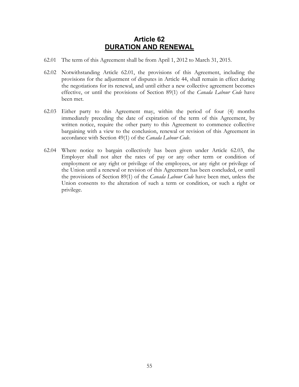### **Article 62 DURATION AND RENEWAL**

- <span id="page-57-1"></span><span id="page-57-0"></span>62.01 The term of this Agreement shall be from April 1, 2012 to March 31, 2015.
- 62.02 Notwithstanding Article [62.01,](#page-57-1) the provisions of this Agreement, including the provisions for the adjustment of disputes in [Article 44,](#page-41-1) shall remain in effect during the negotiations for its renewal, and until either a new collective agreement becomes effective, or until the provisions of Section 89(1) of the *Canada Labour Code* have been met.
- <span id="page-57-2"></span>62.03 Either party to this Agreement may, within the period of four (4) months immediately preceding the date of expiration of the term of this Agreement, by written notice, require the other party to this Agreement to commence collective bargaining with a view to the conclusion, renewal or revision of this Agreement in accordance with Section 49(1) of the *Canada Labour Code*.
- 62.04 Where notice to bargain collectively has been given under Article [62.03,](#page-57-2) the Employer shall not alter the rates of pay or any other term or condition of employment or any right or privilege of the employees, or any right or privilege of the Union until a renewal or revision of this Agreement has been concluded, or until the provisions of Section 89(1) of the *Canada Labour Code* have been met, unless the Union consents to the alteration of such a term or condition, or such a right or privilege.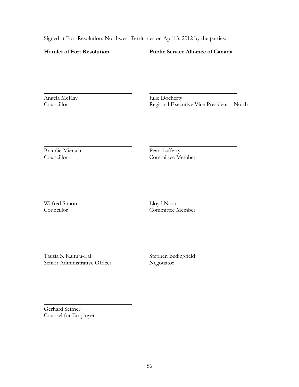Signed at Fort Resolution, Northwest Territories on April 3, 2012 by the parties:

#### **Hamlet of Fort Resolution Public Service Alliance of Canada**

Angela McKay Julie Docherty

Councillor Regional Executive Vice-President – North

Brandie Miersch Pearl Lafferty

Councillor Committee Member

Wilfred Simon Lloyd Norn<br>Councillor Committee N

Committee Member

Tausia S. Kaitu'u-Lal Stephen Bedingfield Senior Administrative Officer

Gerhard Seifner Counsel for Employer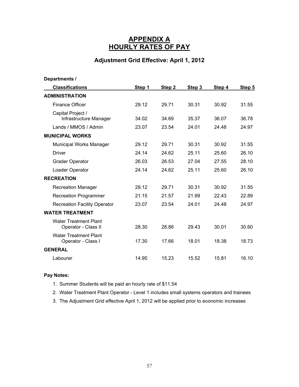### **APPENDIX A HOURLY RATES OF PAY**

### **Adjustment Grid Effective: April 1, 2012**

<span id="page-59-0"></span>

| Departments /                                       |        |        |        |        |        |
|-----------------------------------------------------|--------|--------|--------|--------|--------|
| <b>Classifications</b>                              | Step 1 | Step 2 | Step 3 | Step 4 | Step 5 |
| <b>ADMINISTRATION</b>                               |        |        |        |        |        |
| <b>Finance Officer</b>                              | 29.12  | 29.71  | 30.31  | 30.92  | 31.55  |
| Capital Project /<br>Infrastructure Manager         | 34.02  | 34.69  | 35.37  | 36.07  | 36.78  |
| Lands / MMOS / Admin                                | 23.07  | 23.54  | 24.01  | 24.48  | 24.97  |
| <b>MUNICIPAL WORKS</b>                              |        |        |        |        |        |
| Municipal Works Manager                             | 29.12  | 29.71  | 30.31  | 30.92  | 31.55  |
| <b>Driver</b>                                       | 24.14  | 24.62  | 25.11  | 25.60  | 26.10  |
| <b>Grader Operator</b>                              | 26.03  | 26.53  | 27.04  | 27.55  | 28.10  |
| Loader Operator                                     | 24.14  | 24.62  | 25.11  | 25.60  | 26.10  |
| <b>RECREATION</b>                                   |        |        |        |        |        |
| <b>Recreation Manager</b>                           | 29.12  | 29.71  | 30.31  | 30.92  | 31.55  |
| <b>Recreation Programmer</b>                        | 21.15  | 21.57  | 21.99  | 22.43  | 22.89  |
| <b>Recreation Facility Operator</b>                 | 23.07  | 23.54  | 24.01  | 24.48  | 24.97  |
| <b>WATER TREATMENT</b>                              |        |        |        |        |        |
| <b>Water Treatment Plant</b><br>Operator - Class II | 28.30  | 28.86  | 29.43  | 30.01  | 30.60  |
| <b>Water Treatment Plant</b><br>Operator - Class I  | 17.30  | 17.66  | 18.01  | 18.38  | 18.73  |
| <b>GENERAL</b>                                      |        |        |        |        |        |
| Labourer                                            | 14.95  | 15.23  | 15.52  | 15.81  | 16.10  |

- 1. Summer Students will be paid an hourly rate of \$11.54
- 2. Water Treatment Plant Operator Level 1 includes small systems operators and trainees
- 3. The Adjustment Grid effective April 1, 2012 will be applied prior to economic increases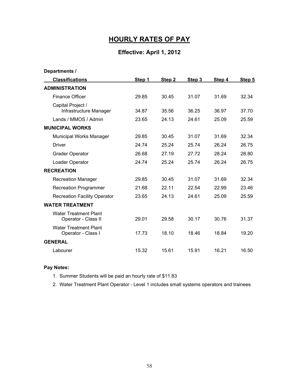# **HOURLY RATES OF PAY**

### **Effective: April 1, 2012**

| Departments /                                       |        |        |        |        |        |
|-----------------------------------------------------|--------|--------|--------|--------|--------|
| <b>Classifications</b>                              | Step 1 | Step 2 | Step 3 | Step 4 | Step 5 |
| <b>ADMINISTRATION</b>                               |        |        |        |        |        |
| <b>Finance Officer</b>                              | 29.85  | 30.45  | 31.07  | 31.69  | 32.34  |
| Capital Project /<br>Infrastructure Manager         | 34.87  | 35.56  | 36.25  | 36.97  | 37.70  |
| Lands / MMOS / Admin                                | 23.65  | 24.13  | 24.61  | 25.09  | 25.59  |
| <b>MUNICIPAL WORKS</b>                              |        |        |        |        |        |
| <b>Municipal Works Manager</b>                      | 29.85  | 30.45  | 31.07  | 31.69  | 32.34  |
| <b>Driver</b>                                       | 24.74  | 25.24  | 25.74  | 26.24  | 26.75  |
| <b>Grader Operator</b>                              | 26.68  | 27.19  | 27.72  | 28.24  | 28.80  |
| Loader Operator                                     | 24.74  | 25.24  | 25.74  | 26.24  | 26.75  |
| <b>RECREATION</b>                                   |        |        |        |        |        |
| <b>Recreation Manager</b>                           | 29.85  | 30.45  | 31.07  | 31.69  | 32.34  |
| <b>Recreation Programmer</b>                        | 21.68  | 22.11  | 22.54  | 22.99  | 23.46  |
| <b>Recreation Facility Operator</b>                 | 23.65  | 24.13  | 24.61  | 25.09  | 25.59  |
| <b>WATER TREATMENT</b>                              |        |        |        |        |        |
| <b>Water Treatment Plant</b><br>Operator - Class II | 29.01  | 29.58  | 30.17  | 30.76  | 31.37  |
| <b>Water Treatment Plant</b><br>Operator - Class I  | 17.73  | 18.10  | 18.46  | 18.84  | 19.20  |
| <b>GENERAL</b>                                      |        |        |        |        |        |
| Labourer                                            | 15.32  | 15.61  | 15.91  | 16.21  | 16.50  |

- 1. Summer Students will be paid an hourly rate of \$11.83
- 2. Water Treatment Plant Operator Level 1 includes small systems operators and trainees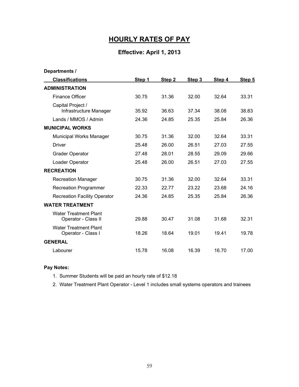# **HOURLY RATES OF PAY**

### **Effective: April 1, 2013**

| Departments /                                       |        |        |        |        |        |
|-----------------------------------------------------|--------|--------|--------|--------|--------|
| <b>Classifications</b>                              | Step 1 | Step 2 | Step 3 | Step 4 | Step 5 |
| <b>ADMINISTRATION</b>                               |        |        |        |        |        |
| <b>Finance Officer</b>                              | 30.75  | 31.36  | 32.00  | 32.64  | 33.31  |
| Capital Project /<br>Infrastructure Manager         | 35.92  | 36.63  | 37.34  | 38.08  | 38.83  |
| Lands / MMOS / Admin                                | 24.36  | 24.85  | 25.35  | 25.84  | 26.36  |
| <b>MUNICIPAL WORKS</b>                              |        |        |        |        |        |
| <b>Municipal Works Manager</b>                      | 30.75  | 31.36  | 32.00  | 32.64  | 33.31  |
| <b>Driver</b>                                       | 25.48  | 26.00  | 26.51  | 27.03  | 27.55  |
| <b>Grader Operator</b>                              | 27.48  | 28.01  | 28.55  | 29.09  | 29.66  |
| Loader Operator                                     | 25.48  | 26.00  | 26.51  | 27.03  | 27.55  |
| <b>RECREATION</b>                                   |        |        |        |        |        |
| <b>Recreation Manager</b>                           | 30.75  | 31.36  | 32.00  | 32.64  | 33.31  |
| <b>Recreation Programmer</b>                        | 22.33  | 22.77  | 23.22  | 23.68  | 24.16  |
| <b>Recreation Facility Operator</b>                 | 24.36  | 24.85  | 25.35  | 25.84  | 26.36  |
| <b>WATER TREATMENT</b>                              |        |        |        |        |        |
| <b>Water Treatment Plant</b><br>Operator - Class II | 29.88  | 30.47  | 31.08  | 31.68  | 32.31  |
| <b>Water Treatment Plant</b><br>Operator - Class I  | 18.26  | 18.64  | 19.01  | 19.41  | 19.78  |
| <b>GENERAL</b>                                      |        |        |        |        |        |
| Labourer                                            | 15.78  | 16.08  | 16.39  | 16.70  | 17.00  |

- 1. Summer Students will be paid an hourly rate of \$12.18
- 2. Water Treatment Plant Operator Level 1 includes small systems operators and trainees